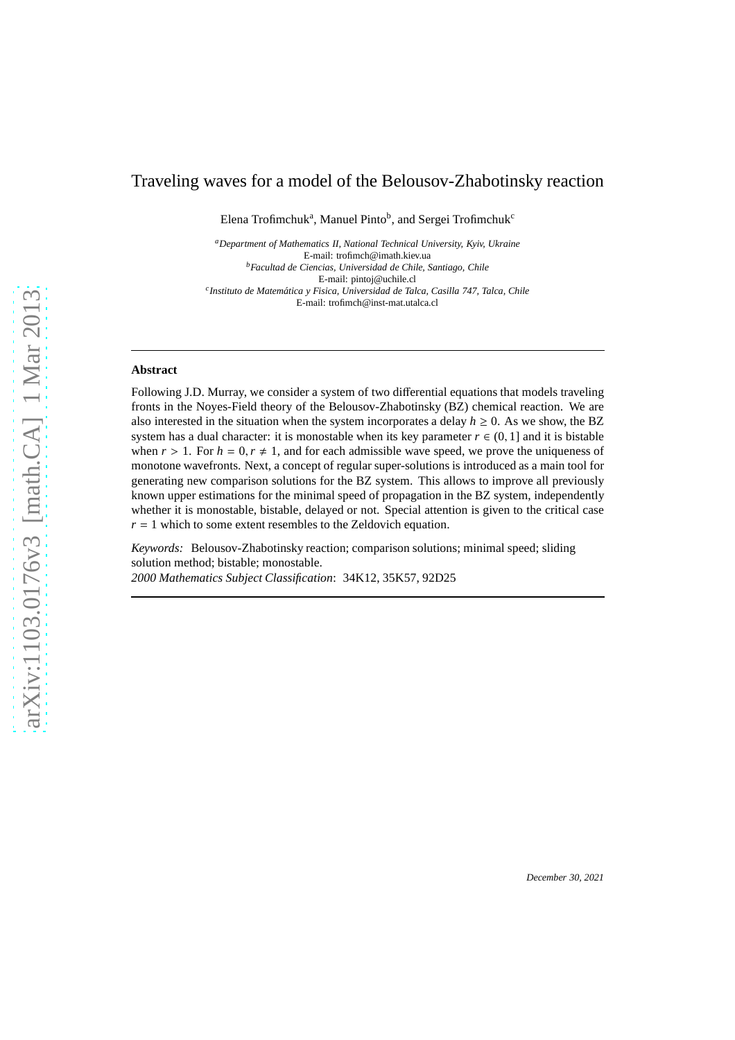# Traveling waves for a model of the Belousov-Zhabotinsky reaction

Elena Trofimchuk<sup>a</sup>, Manuel Pinto<sup>b</sup>, and Sergei Trofimchuk<sup>c</sup>

*<sup>a</sup>Department of Mathematics II, National Technical University, Kyiv, Ukraine* E-mail: trofimch@imath.kiev.ua *<sup>b</sup>Facultad de Ciencias, Universidad de Chile, Santiago, Chile* E-mail: pintoj@uchile.cl *c Instituto de Matem´atica y Fisica, Universidad de Talca, Casilla 747, Talca, Chile* E-mail: trofimch@inst-mat.utalca.cl

#### **Abstract**

Following J.D. Murray, we consider a system of two differential equations that models traveling fronts in the Noyes-Field theory of the Belousov-Zhabotinsky (BZ) chemical reaction. We are also interested in the situation when the system incorporates a delay  $h \geq 0$ . As we show, the BZ system has a dual character: it is monostable when its key parameter  $r \in (0, 1]$  and it is bistable when  $r > 1$ . For  $h = 0, r \ne 1$ , and for each admissible wave speed, we prove the uniqueness of monotone wavefronts. Next, a concept of regular super-solutions is introduced as a main tool for generating new comparison solutions for the BZ system. This allows to improve all previously known upper estimations for the minimal speed of propagation in the BZ system, independently whether it is monostable, bistable, delayed or not. Special attention is given to the critical case  $r = 1$  which to some extent resembles to the Zeldovich equation.

*Keywords:* Belousov-Zhabotinsky reaction; comparison solutions; minimal speed; sliding solution method; bistable; monostable. *2000 Mathematics Subject Classification*: 34K12, 35K57, 92D25

*December 30, 2021*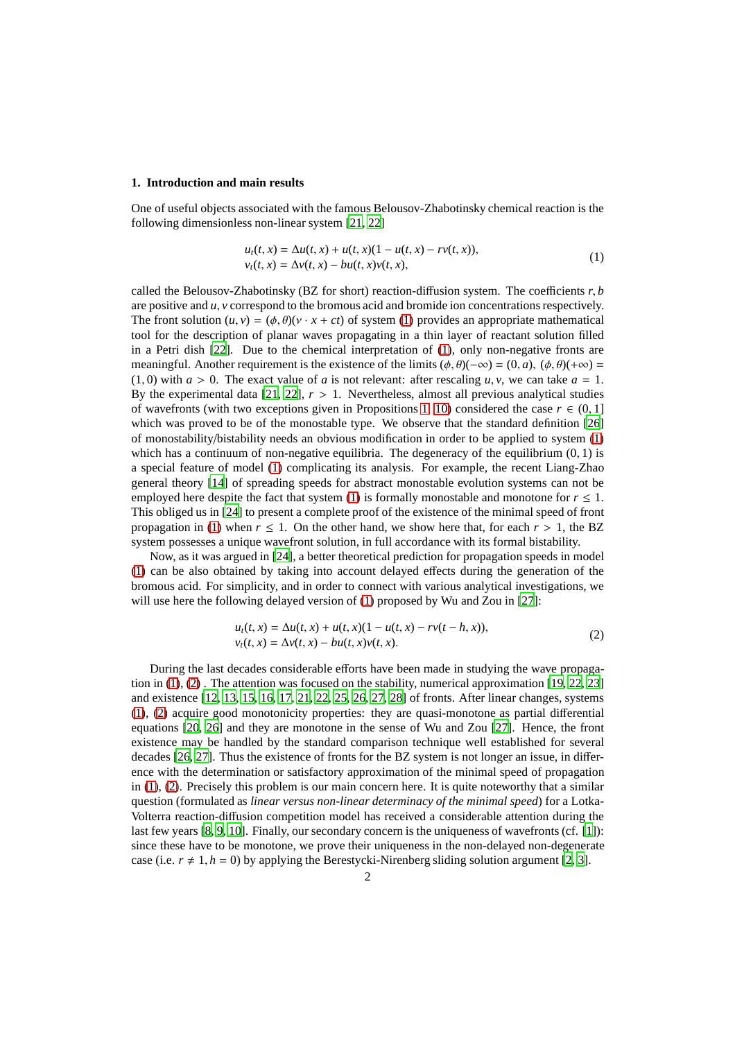#### **1. Introduction and main results**

One of useful objects associated with the famous Belousov-Zhabotinsky chemical reaction is the following dimensionless non-linear system [\[21](#page-22-0), [22](#page-22-1)]

<span id="page-1-0"></span>
$$
u_t(t, x) = \Delta u(t, x) + u(t, x)(1 - u(t, x) - rv(t, x)),
$$
  
\n
$$
v_t(t, x) = \Delta v(t, x) - bu(t, x)v(t, x),
$$
\n(1)

called the Belousov-Zhabotinsky (BZ for short) reaction-diffusion system. The coefficients *r*, *b* are positive and *u*, *v* correspond to the bromous acid and bromide ion concentrations respectively. The front solution  $(u, v) = (\phi, \theta)(v \cdot x + ct)$  of system [\(1\)](#page-1-0) provides an appropriate mathematical tool for the description of planar waves propagating in a thin layer of reactant solution filled in a Petri dish [\[22](#page-22-1)]. Due to the chemical interpretation of [\(1\)](#page-1-0), only non-negative fronts are meaningful. Another requirement is the existence of the limits  $(\phi, \theta)(-\infty) = (0, a)$ ,  $(\phi, \theta)(+\infty) =$  $(1, 0)$  with  $a > 0$ . The exact value of *a* is not relevant: after rescaling *u*, *v*, we can take  $a = 1$ . By the experimental data  $[21, 22]$  $[21, 22]$ ,  $r > 1$ . Nevertheless, almost all previous analytical studies of wavefronts (with two exceptions given in Propositions [1,](#page-2-0) [10\)](#page-4-0) considered the case  $r \in (0, 1]$ which was proved to be of the monostable type. We observe that the standard definition [\[26\]](#page-22-2) of monostability/bistability needs an obvious modification in order to be applied to system [\(1\)](#page-1-0) which has a continuum of non-negative equilibria. The degeneracy of the equilibrium  $(0, 1)$  is a special feature of model [\(1\)](#page-1-0) complicating its analysis. For example, the recent Liang-Zhao general theory [\[14](#page-21-0)] of spreading speeds for abstract monostable evolution systems can not be employed here despite the fact that system [\(1\)](#page-1-0) is formally monostable and monotone for  $r \leq 1$ . This obliged us in [\[24\]](#page-22-3) to present a complete proof of the existence of the minimal speed of front propagation in [\(1\)](#page-1-0) when  $r \le 1$ . On the other hand, we show here that, for each  $r > 1$ , the BZ system possesses a unique wavefront solution, in full accordance with its formal bistability.

Now, as it was argued in [\[24\]](#page-22-3), a better theoretical prediction for propagation speeds in model [\(1\)](#page-1-0) can be also obtained by taking into account delayed effects during the generation of the bromous acid. For simplicity, and in order to connect with various analytical investigations, we will use here the following delayed version of [\(1\)](#page-1-0) proposed by Wu and Zou in [\[27](#page-22-4)]:

<span id="page-1-1"></span>
$$
u_t(t, x) = \Delta u(t, x) + u(t, x)(1 - u(t, x) - rv(t - h, x)),
$$
  
\n
$$
v_t(t, x) = \Delta v(t, x) - bu(t, x)v(t, x).
$$
\n(2)

During the last decades considerable efforts have been made in studying the wave propagation in [\(1\)](#page-1-0), [\(2\)](#page-1-1) . The attention was focused on the stability, numerical approximation [\[19,](#page-22-5) [22,](#page-22-1) [23\]](#page-22-6) and existence [\[12](#page-21-1), [13](#page-21-2), [15,](#page-21-3) [16,](#page-21-4) [17,](#page-22-7) [21,](#page-22-0) [22,](#page-22-1) [25,](#page-22-8) [26,](#page-22-2) [27,](#page-22-4) [28\]](#page-22-9) of fronts. After linear changes, systems [\(1\)](#page-1-0), [\(2\)](#page-1-1) acquire good monotonicity properties: they are quasi-monotone as partial differential equations [\[20](#page-22-10), [26](#page-22-2)] and they are monotone in the sense of Wu and Zou [\[27](#page-22-4)]. Hence, the front existence may be handled by the standard comparison technique well established for several decades [\[26,](#page-22-2) [27\]](#page-22-4). Thus the existence of fronts for the BZ system is not longer an issue, in difference with the determination or satisfactory approximation of the minimal speed of propagation in [\(1\)](#page-1-0), [\(2\)](#page-1-1). Precisely this problem is our main concern here. It is quite noteworthy that a similar question (formulated as *linear versus non-linear determinacy of the minimal speed*) for a Lotka-Volterra reaction-diffusion competition model has received a considerable attention during the last few years [\[8,](#page-21-5) [9,](#page-21-6) [10](#page-21-7)]. Finally, our secondary concern is the uniqueness of wavefronts (cf. [\[1\]](#page-21-8)): since these have to be monotone, we prove their uniqueness in the non-delayed non-degenerate case (i.e.  $r \neq 1, h = 0$ ) by applying the Berestycki-Nirenberg sliding solution argument [\[2,](#page-21-9) [3\]](#page-21-10).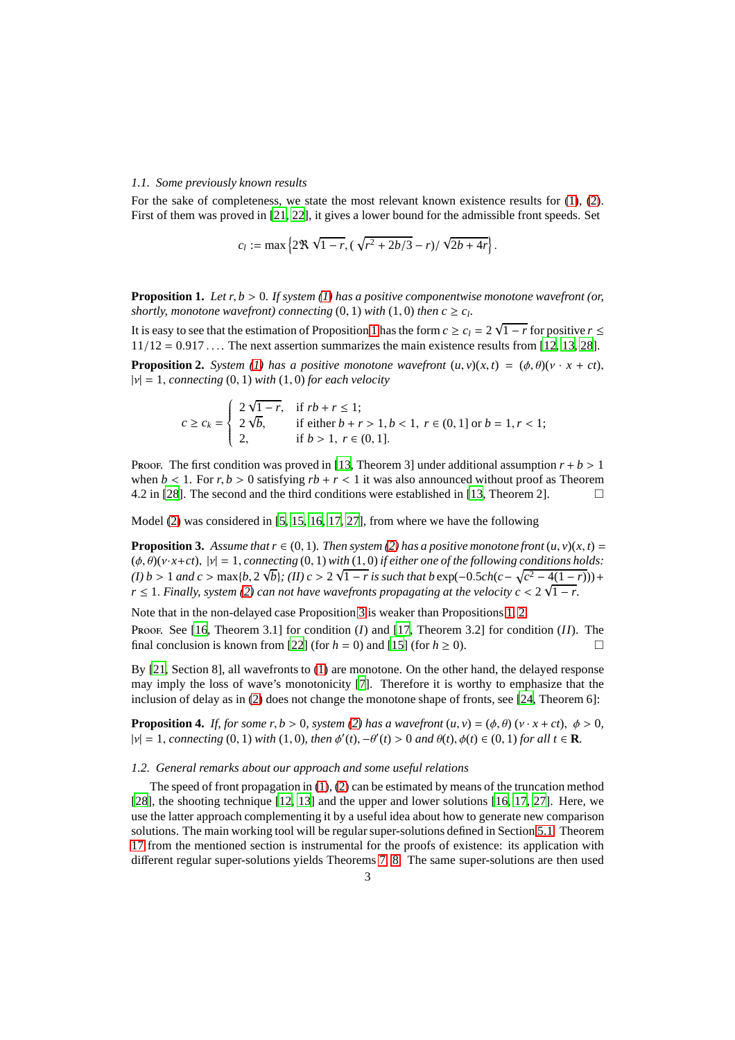#### *1.1. Some previously known results*

For the sake of completeness, we state the most relevant known existence results for [\(1\)](#page-1-0), [\(2\)](#page-1-1). First of them was proved in [\[21,](#page-22-0) [22\]](#page-22-1), it gives a lower bound for the admissible front speeds. Set

<span id="page-2-2"></span>
$$
c_l := \max\left\{2\Re\,\sqrt{1-r},(\sqrt{r^2+2b/3}-r)/\sqrt{2b+4r}\right\}.
$$

<span id="page-2-0"></span>**Proposition 1.** *Let r*, *b* > 0*. If system [\(1\)](#page-1-0) has a positive componentwise monotone wavefront (or, shortly, monotone wavefront) connecting*  $(0, 1)$  *with*  $(1, 0)$  *then*  $c \geq c_l$ .

It is easy to see that the estimation of Proposition [1](#page-2-0) has the form  $c \ge c_l = 2\sqrt{1 - r}$  for positive  $r \le$  $11/12 = 0.917...$  The next assertion summarizes the main existence results from [\[12](#page-21-1), [13](#page-21-2), [28\]](#page-22-9). **Proposition 2.** *System* [\(1\)](#page-1-0) has a positive monotone wavefront  $(u, v)(x, t) = (u, \theta)(v \cdot x + ct)$ ,  $|v| = 1$ , *connecting* (0, 1) *with* (1,0) *for each velocity* 

<span id="page-2-1"></span>
$$
c \ge c_k = \begin{cases} 2\sqrt{1-r}, & \text{if } rb + r \le 1; \\ 2\sqrt{b}, & \text{if either } b + r > 1, b < 1, r \in (0, 1] \text{ or } b = 1, r < 1; \\ 2, & \text{if } b > 1, r \in (0, 1]. \end{cases}
$$

Proof. The first condition was proved in [\[13,](#page-21-2) Theorem 3] under additional assumption  $r + b > 1$ when  $b < 1$ . For  $r, b > 0$  satisfying  $rb + r < 1$  it was also announced without proof as Theorem 4.2 in [\[28\]](#page-22-9). The second and the third conditions were established in [\[13,](#page-21-2) Theorem 2].

Model [\(2\)](#page-1-1) was considered in [\[5](#page-21-11), [15](#page-21-3), [16,](#page-21-4) [17,](#page-22-7) [27\]](#page-22-4), from where we have the following

**Proposition 3.** Assume that  $r \in (0, 1)$ *. Then system* [\(2\)](#page-1-1) has a positive monotone front  $(u, v)(x, t) =$  $(\phi, \theta)(v \cdot x + ct)$ ,  $|v| = 1$ , *connecting* (0, 1) *with* (1, 0) *if either one of the following conditions holds:*  $\sqrt{(I)}$  *b* > 1 *and c* > max{*b*, 2  $\sqrt{b}$ }; (*II*) *c* > 2  $\sqrt{1 - r}$  *is such that b* exp(−0.5*ch*(*c*− $\sqrt{c^2 - 4(1 - r)}$ ))+  $r \leq 1$ . *Finally, system [\(2\)](#page-1-1)* can not have wavefronts propagating at the velocity  $c < 2\sqrt{1-r}$ .

Note that in the non-delayed case Proposition [3](#page-2-1) is weaker than Propositions [1,](#page-2-0) [2.](#page-2-2)

Proof. See [\[16,](#page-21-4) Theorem 3.1] for condition (*I*) and [\[17,](#page-22-7) Theorem 3.2] for condition (*II*). The final conclusion is known from [\[22\]](#page-22-1) (for  $h = 0$ ) and [\[15\]](#page-21-3) (for  $h \ge 0$ ).

By [\[21,](#page-22-0) Section 8], all wavefronts to [\(1\)](#page-1-0) are monotone. On the other hand, the delayed response may imply the loss of wave's monotonicity [\[7\]](#page-21-12). Therefore it is worthy to emphasize that the inclusion of delay as in [\(2\)](#page-1-1) does not change the monotone shape of fronts, see [\[24,](#page-22-3) Theorem 6]:

<span id="page-2-3"></span>**Proposition 4.** *If, for some r, b* > 0*, system* [\(2\)](#page-1-1) has a wavefront  $(u, v) = (\phi, \theta) (v \cdot x + ct)$ ,  $\phi > 0$ ,  $|v| = 1$ , *connecting* (0, 1) *with* (1, 0)*, then*  $\phi'(t)$ *,* $-\theta'(t) > 0$  *and*  $\theta(t)$ *,* $\phi(t) \in (0, 1)$  *for all*  $t \in \mathbf{R}$ *.* 

#### *1.2. General remarks about our approach and some useful relations*

The speed of front propagation in  $(1)$ ,  $(2)$  can be estimated by means of the truncation method [\[28\]](#page-22-9), the shooting technique [\[12](#page-21-1), [13\]](#page-21-2) and the upper and lower solutions [\[16](#page-21-4), [17,](#page-22-7) [27\]](#page-22-4). Here, we use the latter approach complementing it by a useful idea about how to generate new comparison solutions. The main working tool will be regular super-solutions defined in Section [5.1.](#page-10-0) Theorem [17](#page-11-0) from the mentioned section is instrumental for the proofs of existence: its application with different regular super-solutions yields Theorems [7,](#page-3-0) [8.](#page-4-1) The same super-solutions are then used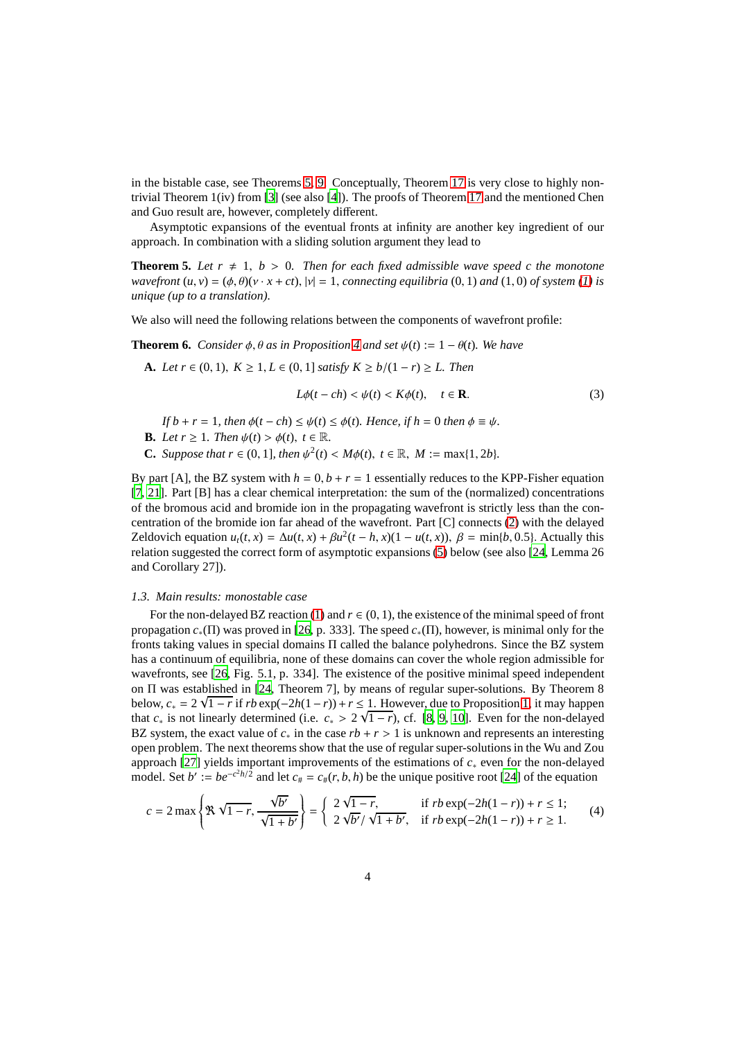in the bistable case, see Theorems [5,](#page-3-1) [9.](#page-4-2) Conceptually, Theorem [17](#page-11-0) is very close to highly nontrivial Theorem 1(iv) from [\[3](#page-21-10)] (see also [\[4](#page-21-13)]). The proofs of Theorem [17](#page-11-0) and the mentioned Chen and Guo result are, however, completely different.

Asymptotic expansions of the eventual fronts at infinity are another key ingredient of our approach. In combination with a sliding solution argument they lead to

**Theorem 5.** Let  $r \neq 1$ ,  $b > 0$ . Then for each fixed admissible wave speed c the monotone *wavefront*  $(u, v) = (\phi, \theta)(v \cdot x + ct)$ ,  $|v| = 1$ , *connecting equilibria* (0, 1) *and* (1, 0) *of system* [\(1\)](#page-1-0) *is unique (up to a translation).*

We also will need the following relations between the components of wavefront profile:

**Theorem 6.** *Consider*  $\phi$ ,  $\theta$  *as in Proposition* [4](#page-2-3) *and set*  $\psi(t) := 1 - \theta(t)$ *. We have* 

**A.** *Let*  $r \in (0, 1)$ ,  $K \ge 1$ ,  $L \in (0, 1]$  *satisfy*  $K \ge b/(1 - r) \ge L$ . *Then* 

<span id="page-3-2"></span><span id="page-3-1"></span>
$$
L\phi(t-ch) < \psi(t) < K\phi(t), \quad t \in \mathbf{R}.\tag{3}
$$

*If*  $b + r = 1$ *, then*  $\phi(t - ch) \leq \psi(t) \leq \phi(t)$ *. Hence, if*  $h = 0$  *then*  $\phi \equiv \psi$ *.* 

- **B.** *Let*  $r \geq 1$ *. Then*  $\psi(t) > \phi(t)$ *,*  $t \in \mathbb{R}$ *.*
- **C.** *Suppose that*  $r \in (0, 1]$ *, then*  $\psi^2(t) < M\phi(t)$ *,*  $t \in \mathbb{R}$ *,*  $M := \max\{1, 2b\}$ *.*

By part [A], the BZ system with  $h = 0$ ,  $b + r = 1$  essentially reduces to the KPP-Fisher equation [\[7,](#page-21-12) [21\]](#page-22-0). Part [B] has a clear chemical interpretation: the sum of the (normalized) concentrations of the bromous acid and bromide ion in the propagating wavefront is strictly less than the concentration of the bromide ion far ahead of the wavefront. Part [C] connects [\(2\)](#page-1-1) with the delayed Zeldovich equation  $u_t(t, x) = \Delta u(t, x) + \beta u^2(t - h, x)(1 - u(t, x))$ ,  $\beta = \min\{b, 0.5\}$ . Actually this relation suggested the correct form of asymptotic expansions [\(5\)](#page-4-3) below (see also [\[24](#page-22-3), Lemma 26 and Corollary 27]).

#### *1.3. Main results: monostable case*

For the non-delayed BZ reaction [\(1\)](#page-1-0) and  $r \in (0, 1)$ , the existence of the minimal speed of front propagation *c*∗(Π) was proved in [\[26,](#page-22-2) p. 333]. The speed *c*∗(Π), however, is minimal only for the fronts taking values in special domains  $\Pi$  called the balance polyhedrons. Since the BZ system has a continuum of equilibria, none of these domains can cover the whole region admissible for wavefronts, see [\[26](#page-22-2), Fig. 5.1, p. 334]. The existence of the positive minimal speed independent on Π was established in [\[24,](#page-22-3) Theorem 7], by means of regular super-solutions. By Theorem 8 below,  $c_* = 2\sqrt{1 - r}$  if  $rb \exp(-2h(1 - r)) + r \le 1$ . However, due to Proposition [1,](#page-2-0) it may happen that  $c_*$  is not linearly determined (i.e.  $c_* > 2\sqrt{1-r}$ ), cf. [\[8](#page-21-5), [9,](#page-21-6) [10](#page-21-7)]. Even for the non-delayed BZ system, the exact value of  $c_*$  in the case  $rb + r > 1$  is unknown and represents an interesting open problem. The next theorems show that the use of regular super-solutions in the Wu and Zou approach [\[27](#page-22-4)] yields important improvements of the estimations of *c*<sup>∗</sup> even for the non-delayed model. Set  $b' := be^{-c^2 h/2}$  and let  $c_{\#} = c_{\#}(r, b, h)$  be the unique positive root [\[24](#page-22-3)] of the equation

<span id="page-3-0"></span>
$$
c = 2 \max \left\{ \Re \sqrt{1 - r}, \frac{\sqrt{b'}}{\sqrt{1 + b'}} \right\} = \begin{cases} 2\sqrt{1 - r}, & \text{if } rb \exp(-2h(1 - r)) + r \le 1; \\ 2\sqrt{b'} / \sqrt{1 + b'}, & \text{if } rb \exp(-2h(1 - r)) + r \ge 1. \end{cases} \tag{4}
$$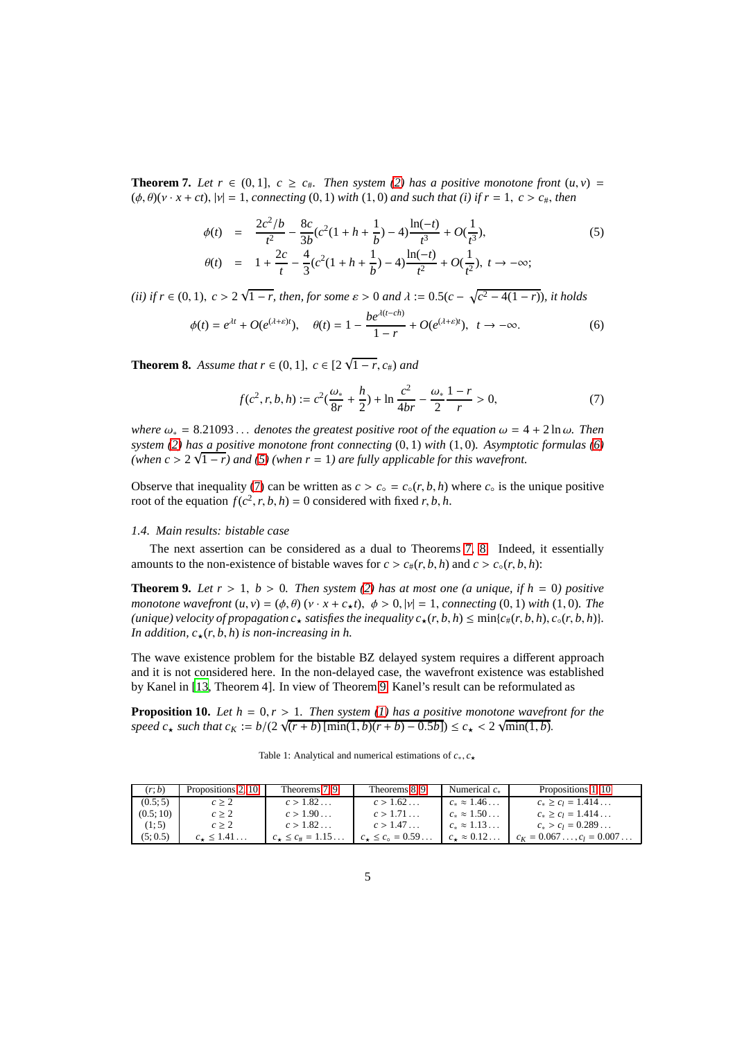**Theorem 7.** *Let*  $r \in (0,1]$ ,  $c \ge c_{\#}$ . *Then system* [\(2\)](#page-1-1) *has a positive monotone front*  $(u, v)$  =  $(\phi, \theta)(v \cdot x + ct)$ ,  $|v| = 1$ , *connecting* (0, 1) *with* (1, 0) *and such that (i) if*  $r = 1$ ,  $c > c_{\text{#}}$ , *then* 

<span id="page-4-3"></span>
$$
\phi(t) = \frac{2c^2/b}{t^2} - \frac{8c}{3b}(c^2(1+h+\frac{1}{b})-4)\frac{\ln(-t)}{t^3} + O(\frac{1}{t^3}),
$$
\n
$$
\theta(t) = 1 + \frac{2c}{t} - \frac{4}{3}(c^2(1+h+\frac{1}{b})-4)\frac{\ln(-t)}{t^2} + O(\frac{1}{t^2}), \ t \to -\infty;
$$
\n(5)

*(ii) if*  $r \in (0, 1)$ ,  $c > 2\sqrt{1-r}$ , *then, for some*  $\varepsilon > 0$  *and*  $\lambda := 0.5(c - \sqrt{c^2 - 4(1 - r)})$ *, it holds* 

<span id="page-4-4"></span>
$$
\phi(t) = e^{\lambda t} + O(e^{(\lambda + \varepsilon)t}), \quad \theta(t) = 1 - \frac{be^{\lambda(t - ch)}}{1 - r} + O(e^{(\lambda + \varepsilon)t}), \quad t \to -\infty.
$$
 (6)

<span id="page-4-1"></span>**Theorem 8.** *Assume that*  $r \in (0, 1]$ ,  $c \in [2\sqrt{1 - r}, c_{\#})$  *and* 

<span id="page-4-5"></span>
$$
f(c^2, r, b, h) := c^2(\frac{\omega_*}{8r} + \frac{h}{2}) + \ln\frac{c^2}{4br} - \frac{\omega_*}{2}\frac{1-r}{r} > 0,
$$
 (7)

*where*  $\omega_* = 8.21093...$  *denotes the greatest positive root of the equation*  $\omega = 4 + 2 \ln \omega$ . Then *system [\(2\)](#page-1-1) has a positive monotone front connecting* (0, 1) *with* (1, 0)*. Asymptotic formulas [\(6\)](#page-4-4)* (when  $c > 2\sqrt{1-r}$ ) and [\(5\)](#page-4-3) (when  $r = 1$ ) are fully applicable for this wavefront.

Observe that inequality [\(7\)](#page-4-5) can be written as  $c > c_{\circ} = c_{\circ}(r, b, h)$  where  $c_{\circ}$  is the unique positive root of the equation  $f(c^2, r, b, h) = 0$  considered with fixed *r*, *b*, *h*.

### *1.4. Main results: bistable case*

The next assertion can be considered as a dual to Theorems [7,](#page-3-0) [8.](#page-4-1) Indeed, it essentially amounts to the non-existence of bistable waves for  $c > c_{\#}(r, b, h)$  and  $c > c_{\circ}(r, b, h)$ :

**Theorem 9.** Let  $r > 1$ ,  $b > 0$ . Then system [\(2\)](#page-1-1) has at most one (a unique, if  $h = 0$ ) positive *monotone wavefront*  $(u, v) = (\phi, \theta) (v \cdot x + c_{\star}t), \ \phi > 0, |v| = 1$ , *connecting* (0, 1) *with* (1, 0)*. The (unique) velocity of propagation*  $c_{\star}$  *satisfies the inequality*  $c_{\star}(r, b, h) \leq \min\{c_{\#}(r, b, h), c_{\circ}(r, b, h)\}.$ *In addition,*  $c_{\star}(r, b, h)$  *is non-increasing in h.* 

The wave existence problem for the bistable BZ delayed system requires a different approach and it is not considered here. In the non-delayed case, the wavefront existence was established by Kanel in [\[13,](#page-21-2) Theorem 4]. In view of Theorem [9,](#page-4-2) Kanel's result can be reformulated as

**Proposition 10.** *Let*  $h = 0, r > 1$ *. Then system (1) has a positive monotone wavefront for the*  $speed \ c_{\star} \text{ such that } c_K := b/(2\sqrt{(r+b)\left[\min(1,b)(r+b)-0.5b\right]}) \leq c_{\star} < 2\sqrt{\min(1,b)}$ .

<span id="page-4-2"></span><span id="page-4-0"></span>

| Table 1: Analytical and numerical estimations of $c_*, c_*$ |  |  |  |  |  |  |
|-------------------------------------------------------------|--|--|--|--|--|--|
|-------------------------------------------------------------|--|--|--|--|--|--|

| (r;b)    | Propositions 2, 10 | Theorems 7, 9         | Theorems 8, 9                 | Numerical $c_{\ast}$     | Propositions 1, 10            |
|----------|--------------------|-----------------------|-------------------------------|--------------------------|-------------------------------|
| (0.5; 5) | c > 2              | c > 1.82              | c > 1.62                      | $c_* \approx 1.46$       | $c_* \geq c_l = 1.414$        |
| (0.5:10) | c > 2              | c > 1.90              | c > 1.71                      | $c_* \approx 1.50$       | $c_* \geq c_l = 1.414$        |
| (1:5)    | c > 2              | c > 1.82              | c > 1.47                      | $c_* \approx 1.13$       | $c_* > c_l = 0.289$           |
| (5:0.5)  | $c_{\star}$ < 1.41 | $c_* \leq c_* = 1.15$ | $c_{\star} \leq c_{0} = 0.59$ | $c_{\star} \approx 0.12$ | $c_K = 0.067$ , $c_l = 0.007$ |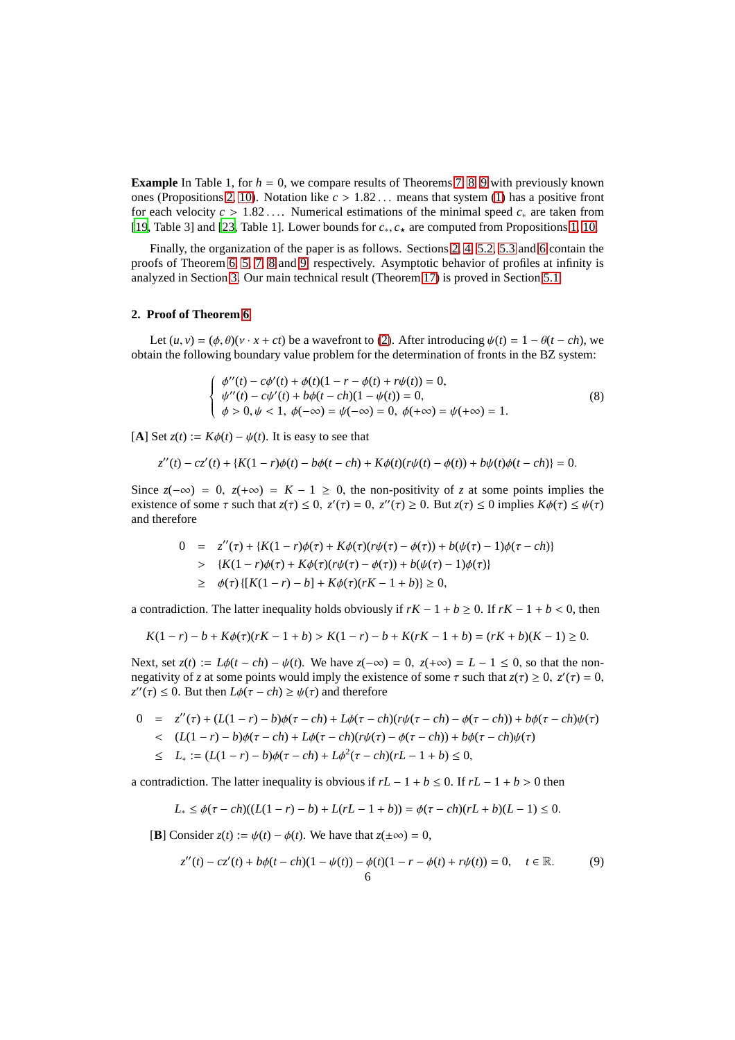**Example** In Table 1, for  $h = 0$ , we compare results of Theorems [7,](#page-3-0) [8,](#page-4-1) [9](#page-4-2) with previously known ones (Propositions [2,](#page-2-2) [10\)](#page-4-0). Notation like  $c > 1.82...$  means that system [\(1\)](#page-1-0) has a positive front for each velocity *c* > 1.82 . . .. Numerical estimations of the minimal speed *c*<sup>∗</sup> are taken from [\[19,](#page-22-5) Table 3] and [\[23,](#page-22-6) Table 1]. Lower bounds for *c*∗, *c*<sup>⋆</sup> are computed from Propositions [1,](#page-2-0) [10.](#page-4-0)

Finally, the organization of the paper is as follows. Sections [2,](#page-5-0) [4,](#page-8-0) [5.2,](#page-17-0) [5.3](#page-19-0) and [6](#page-20-0) contain the proofs of Theorem [6,](#page-3-2) [5,](#page-3-1) [7,](#page-3-0) [8](#page-4-1) and [9,](#page-4-2) respectively. Asymptotic behavior of profiles at infinity is analyzed in Section [3.](#page-6-0) Our main technical result (Theorem [17\)](#page-11-0) is proved in Section [5.1.](#page-10-0)

#### <span id="page-5-0"></span>**2. Proof of Theorem [6](#page-3-2)**

Let  $(u, v) = (\phi, \theta)(v \cdot x + ct)$  be a wavefront to [\(2\)](#page-1-1). After introducing  $\psi(t) = 1 - \theta(t - ch)$ , we obtain the following boundary value problem for the determination of fronts in the BZ system:

<span id="page-5-2"></span>
$$
\begin{cases}\n\phi''(t) - c\phi'(t) + \phi(t)(1 - r - \phi(t) + r\psi(t)) = 0, \\
\psi''(t) - c\psi'(t) + b\phi(t - ch)(1 - \psi(t)) = 0, \\
\phi > 0, \psi < 1, \ \phi(-\infty) = \psi(-\infty) = 0, \ \phi(+\infty) = \psi(+\infty) = 1.\n\end{cases}
$$
\n(8)

[**A**] Set  $z(t) := K\phi(t) - \psi(t)$ . It is easy to see that

$$
z''(t) - cz'(t) + \{K(1 - r)\phi(t) - b\phi(t - ch) + K\phi(t)(r\psi(t) - \phi(t)) + b\psi(t)\phi(t - ch)\} = 0.
$$

Since  $z(-\infty) = 0$ ,  $z(+\infty) = K - 1 \ge 0$ , the non-positivity of *z* at some points implies the existence of some  $\tau$  such that  $z(\tau) \leq 0$ ,  $z'(\tau) = 0$ ,  $z''(\tau) \geq 0$ . But  $z(\tau) \leq 0$  implies  $K\phi(\tau) \leq \psi(\tau)$ and therefore

$$
0 = z''(\tau) + \{K(1 - r)\phi(\tau) + K\phi(\tau)(r\psi(\tau) - \phi(\tau)) + b(\psi(\tau) - 1)\phi(\tau - ch)\}
$$
  
> 
$$
\{K(1 - r)\phi(\tau) + K\phi(\tau)(r\psi(\tau) - \phi(\tau)) + b(\psi(\tau) - 1)\phi(\tau)\}
$$
  
 
$$
\geq \phi(\tau) \{[K(1 - r) - b] + K\phi(\tau)(rK - 1 + b)\} \geq 0,
$$

a contradiction. The latter inequality holds obviously if  $rK - 1 + b \ge 0$ . If  $rK - 1 + b < 0$ , then

$$
K(1-r) - b + K\phi(\tau)(rK - 1 + b) > K(1-r) - b + K(rK - 1 + b) = (rK + b)(K - 1) \geq 0.
$$

Next, set  $z(t) := L\phi(t - ch) - \psi(t)$ . We have  $z(-\infty) = 0$ ,  $z(+\infty) = L - 1 \le 0$ , so that the nonnegativity of *z* at some points would imply the existence of some  $\tau$  such that  $z(\tau) \ge 0$ ,  $z'(\tau) = 0$ ,  $z''(\tau) \leq 0$ . But then  $L\phi(\tau - ch) \geq \psi(\tau)$  and therefore

 $0 = z''(\tau) + (L(1 - r) - b)\phi(\tau - ch) + L\phi(\tau - ch)(r\psi(\tau - ch) - \phi(\tau - ch)) + b\phi(\tau - ch)\psi(\tau)$ < (*L*(1 − *r*) − *b*)φ(τ − *ch*) + *L*φ(τ − *ch*)(*r*ψ(τ) − φ(τ − *ch*)) + *b*φ(τ − *ch*)ψ(τ) ≤ *L*<sup>∗</sup> := (*L*(1 − *r*) − *b*)φ(τ − *ch*) + *L*φ 2 (τ − *ch*)(*rL* − 1 + *b*) ≤ 0,

a contradiction. The latter inequality is obvious if  $rL - 1 + b \le 0$ . If  $rL - 1 + b > 0$  then

$$
L_* \le \phi(\tau - ch)((L(1 - r) - b) + L(rL - 1 + b)) = \phi(\tau - ch)(rL + b)(L - 1) \le 0.
$$

**[B**] Consider  $z(t) := \psi(t) - \phi(t)$ . We have that  $z(\pm \infty) = 0$ ,

<span id="page-5-1"></span>
$$
z''(t) - cz'(t) + b\phi(t - ch)(1 - \psi(t)) - \phi(t)(1 - r - \phi(t) + r\psi(t)) = 0, \quad t \in \mathbb{R}.
$$
 (9)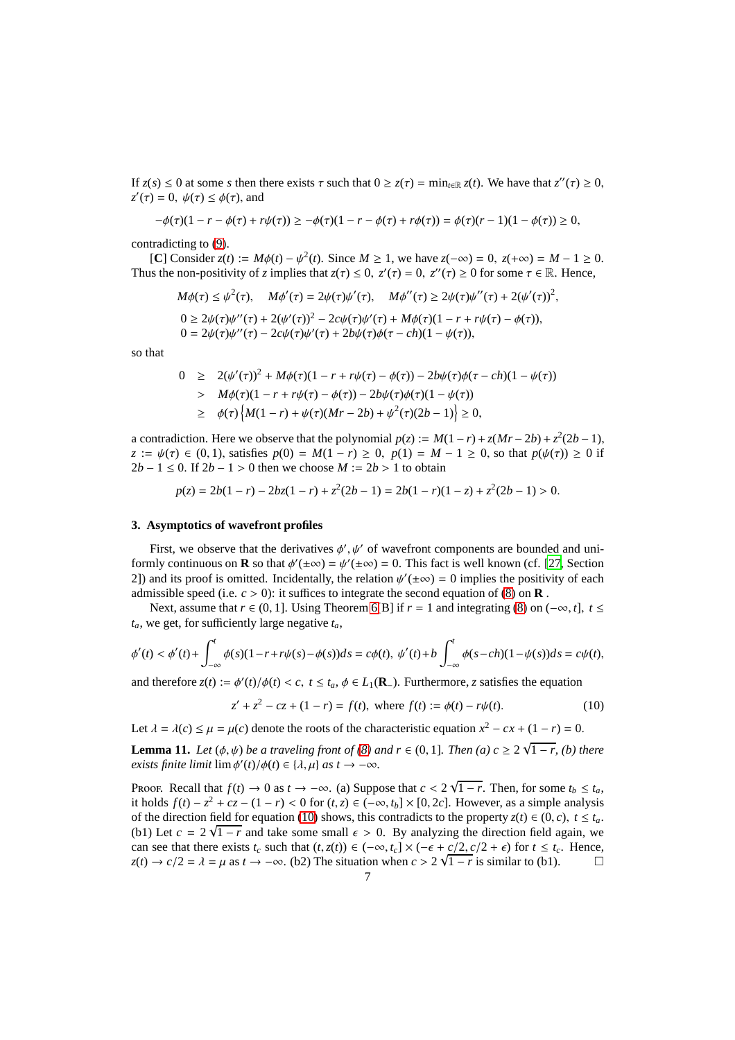If  $z(s) \le 0$  at some *s* then there exists  $\tau$  such that  $0 \ge z(\tau) = \min_{t \in \mathbb{R}} z(t)$ . We have that  $z''(\tau) \ge 0$ ,  $z'(\tau) = 0$ ,  $\psi(\tau) \leq \phi(\tau)$ , and

$$
-\phi(\tau)(1 - r - \phi(\tau) + r\psi(\tau)) \ge -\phi(\tau)(1 - r - \phi(\tau) + r\phi(\tau)) = \phi(\tau)(r - 1)(1 - \phi(\tau)) \ge 0,
$$

contradicting to [\(9\)](#page-5-1).

[**C**] Consider *z*(*t*) := *M*φ(*t*) −  $\psi^2$ (*t*). Since *M* ≥ 1, we have *z*(−∞) = 0, *z*(+∞) = *M* − 1 ≥ 0. Thus the non-positivity of *z* implies that  $z(\tau) \le 0$ ,  $z'(\tau) = 0$ ,  $z''(\tau) \ge 0$  for some  $\tau \in \mathbb{R}$ . Hence,

$$
M\phi(\tau) \le \psi^2(\tau), \quad M\phi'(\tau) = 2\psi(\tau)\psi'(\tau), \quad M\phi''(\tau) \ge 2\psi(\tau)\psi''(\tau) + 2(\psi'(\tau))^2,
$$
  
\n
$$
0 \ge 2\psi(\tau)\psi''(\tau) + 2(\psi'(\tau))^2 - 2c\psi(\tau)\psi'(\tau) + M\phi(\tau)(1 - r + r\psi(\tau) - \phi(\tau)),
$$
  
\n
$$
0 = 2\psi(\tau)\psi''(\tau) - 2c\psi(\tau)\psi'(\tau) + 2b\psi(\tau)\phi(\tau - ch)(1 - \psi(\tau)),
$$

so that

$$
0 \ge 2(\psi'(\tau))^2 + M\phi(\tau)(1 - r + r\psi(\tau) - \phi(\tau)) - 2b\psi(\tau)\phi(\tau - ch)(1 - \psi(\tau))
$$
  
>  $M\phi(\tau)(1 - r + r\psi(\tau) - \phi(\tau)) - 2b\psi(\tau)\phi(\tau)(1 - \psi(\tau))$   
 $\ge \phi(\tau)\left\{M(1 - r) + \psi(\tau)(Mr - 2b) + \psi^2(\tau)(2b - 1)\right\} \ge 0,$ 

a contradiction. Here we observe that the polynomial  $p(z) := M(1 - r) + z(Mr - 2b) + z^2(2b - 1)$ , *z* :=  $\psi(\tau) \in (0, 1)$ , satisfies  $p(0) = M(1 - r) \ge 0$ ,  $p(1) = M - 1 \ge 0$ , so that  $p(\psi(\tau)) \ge 0$  if 2*b* − 1 ≤ 0. If  $2b - 1 > 0$  then we choose *M* :=  $2b > 1$  to obtain

$$
p(z) = 2b(1 - r) - 2bz(1 - r) + z^2(2b - 1) = 2b(1 - r)(1 - z) + z^2(2b - 1) > 0.
$$

#### <span id="page-6-0"></span>**3. Asymptotics of wavefront profiles**

First, we observe that the derivatives  $\phi', \psi'$  of wavefront components are bounded and uniformly continuous on **R** so that  $\phi'(\pm \infty) = \psi'(\pm \infty) = 0$ . This fact is well known (cf. [\[27,](#page-22-4) Section 2]) and its proof is omitted. Incidentally, the relation  $\psi'(\pm \infty) = 0$  implies the positivity of each admissible speed (i.e.  $c > 0$ ): it suffices to integrate the second equation of [\(8\)](#page-5-2) on **R**.

Next, assume that  $r \in (0, 1]$ . Using Theorem [6\[](#page-3-2)B] if  $r = 1$  and integrating [\(8\)](#page-5-2) on  $(-\infty, t]$ ,  $t \le$  $t_a$ , we get, for sufficiently large negative  $t_a$ ,

$$
\phi'(t) < \phi'(t) + \int_{-\infty}^t \phi(s)(1 - r + r\psi(s) - \phi(s))ds = c\phi(t), \ \psi'(t) + b\int_{-\infty}^t \phi(s - ch)(1 - \psi(s))ds = c\psi(t),
$$

and therefore  $z(t) := \phi'(t)/\phi(t) < c$ ,  $t \le t_a$ ,  $\phi \in L_1(\mathbf{R}_-)$ . Furthermore, *z* satisfies the equation

<span id="page-6-2"></span><span id="page-6-1"></span>
$$
z' + z2 - cz + (1 - r) = f(t), \text{ where } f(t) := \phi(t) - r\psi(t). \tag{10}
$$

Let  $\lambda = \lambda(c) \le \mu = \mu(c)$  denote the roots of the characteristic equation  $x^2 - cx + (1 - r) = 0$ .

**Lemma 11.** *Let*  $(\phi, \psi)$  *be a traveling front of*  $(8)$  *and*  $r \in (0, 1]$ *. Then*  $(a)$   $c \geq 2\sqrt{1-r}$ *,*  $(b)$  *there exists finite limit*  $\lim \phi'(t)/\phi(t) \in {\lambda, \mu}$  *as t* →  $-\infty$ *.* 

Proof. Recall that  $f(t) \to 0$  as  $t \to -\infty$ . (a) Suppose that  $c < 2\sqrt{1-r}$ . Then, for some  $t_b \le t_a$ , it holds  $f(t) - z^2 + cz - (1 - r) < 0$  for  $(t, z) \in (-\infty, t_b] \times [0, 2c]$ . However, as a simple analysis of the direction field for equation [\(10\)](#page-6-1) shows, this contradicts to the property  $z(t) \in (0, c)$ ,  $t \leq t_a$ . (b1) Let  $c = 2\sqrt{1-r}$  and take some small  $\epsilon > 0$ . By analyzing the direction field again, we can see that there exists  $t_c$  such that  $(t, z(t)) \in (-\infty, t_c] \times (-\epsilon + c/2, c/2 + \epsilon)$  for  $t \le t_c$ . Hence,<br> $z(t) \to c/2 = \lambda = \mu$  as  $t \to -\infty$  (b2) The situation when  $c > 2\sqrt{1-r}$  is similar to (b1)  $z(t) \to c/2 = \lambda = \mu$  as  $t \to -\infty$ . (b2) The situation when  $c > 2\sqrt{1 - r}$  is similar to (b1).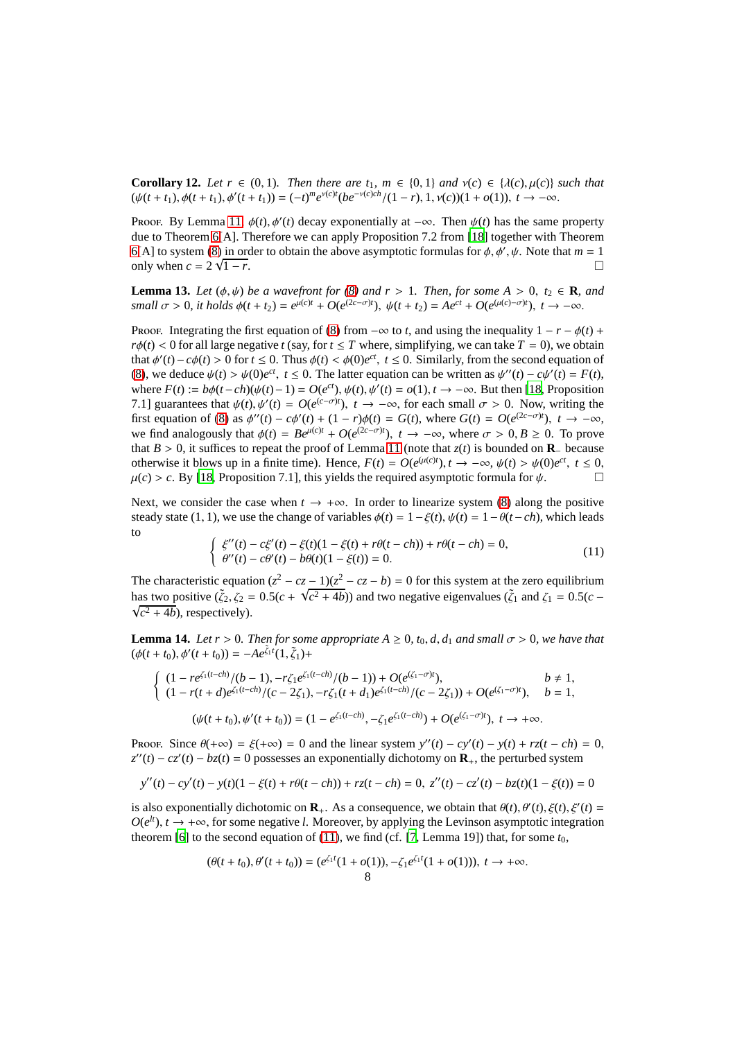<span id="page-7-3"></span>**Corollary 12.** *Let*  $r \in (0, 1)$ *. Then there are t*<sub>1</sub>*, m*  $\in \{0, 1\}$  *and*  $v(c) \in \{\lambda(c), \mu(c)\}\$  *such that*  $(\psi(t+t_1), \phi(t+t_1), \phi'(t+t_1)) = (-t)^m e^{\nu(c)t} (be^{-\nu(c)ch}/(1-r), 1, \nu(c))(1+o(1)), t \to -\infty.$ 

Proof. By Lemma [11,](#page-6-2)  $\phi(t)$ ,  $\phi'(t)$  decay exponentially at  $-\infty$ . Then  $\psi(t)$  has the same property due to Theorem [6\[](#page-3-2)A]. Therefore we can apply Proposition 7.2 from [\[18\]](#page-22-11) together with Theorem [6\[](#page-3-2)A] to system [\(8\)](#page-5-2) in order to obtain the above asymptotic formulas for  $\phi$ ,  $\phi'$ ,  $\psi$ . Note that  $m = 1$ only when  $c = 2 \sqrt{}$  $\overline{1-r}$ .

<span id="page-7-2"></span>**Lemma 13.** *Let*  $(\phi, \psi)$  *be a wavefront for*  $(8)$  *and*  $r > 1$ *. Then, for some*  $A > 0$ *, t<sub>2</sub>*  $\in \mathbb{R}$ *, and* small  $\sigma > 0$ , it holds  $\phi(t + t_2) = e^{\mu(c)t} + O(e^{(2c - \sigma)t})$ ,  $\psi(t + t_2) = Ae^{ct} + O(e^{(\mu(c) - \sigma)t})$ ,  $t \to -\infty$ .

Proof. Integrating the first equation of [\(8\)](#page-5-2) from  $-\infty$  to *t*, and using the inequality  $1 - r - \phi(t) +$  $r\phi(t) < 0$  for all large negative *t* (say, for  $t \leq T$  where, simplifying, we can take  $T = 0$ ), we obtain that  $\phi'(t) - c\phi(t) > 0$  for  $t \le 0$ . Thus  $\phi(t) < \phi(0)e^{ct}$ ,  $t \le 0$ . Similarly, from the second equation of [\(8\)](#page-5-2), we deduce  $\psi(t) > \psi(0)e^{ct}$ ,  $t \le 0$ . The latter equation can be written as  $\psi''(t) - c\psi'(t) = F(t)$ , where  $F(t) := b\phi(t - ch)(\psi(t) - 1) = O(e^{ct}), \psi(t), \psi'(t) = o(1), t \to -\infty$ . But then [\[18](#page-22-11), Proposition 7.1] guarantees that  $\psi(t)$ ,  $\psi'(t) = O(e^{(c-\sigma)t})$ ,  $t \to -\infty$ , for each small  $\sigma > 0$ . Now, writing the first equation of [\(8\)](#page-5-2) as  $\phi''(t) - c\phi'(t) + (1 - r)\phi(t) = G(t)$ , where  $G(t) = O(e^{(2c - \sigma)t})$ ,  $t \to -\infty$ , we find analogously that  $\phi(t) = Be^{\mu(c)t} + O(e^{(2c-\sigma)t})$ ,  $t \to -\infty$ , where  $\sigma > 0, B \ge 0$ . To prove that *B* > 0, it suffices to repeat the proof of Lemma [11](#page-6-2) (note that  $z(t)$  is bounded on **R**− because otherwise it blows up in a finite time). Hence,  $F(t) = O(e^{(\mu(c)t)})$ ,  $t \to -\infty$ ,  $\psi(t) > \psi(0)e^{ct}$ ,  $t \le 0$ ,  $\mu(c) > c$ . By [\[18,](#page-22-11) Proposition 7.1], this yields the required asymptotic formula for  $\psi$ .

Next, we consider the case when  $t \to +\infty$ . In order to linearize system [\(8\)](#page-5-2) along the positive steady state (1, 1), we use the change of variables  $\phi(t) = 1 - \xi(t)$ ,  $\psi(t) = 1 - \theta(t - ch)$ , which leads to

<span id="page-7-1"></span><span id="page-7-0"></span>
$$
\begin{cases} \xi''(t) - c\xi'(t) - \xi(t)(1 - \xi(t) + r\theta(t - ch)) + r\theta(t - ch) = 0, \\ \theta''(t) - c\theta'(t) - b\theta(t)(1 - \xi(t)) = 0. \end{cases}
$$
\n(11)

The characteristic equation  $(z^2 - cz - 1)(z^2 - cz - b) = 0$  for this system at the zero equilibrium has two positive ( $\zeta_2$ ,  $\zeta_2 = 0.5(c + \sqrt{c^2 + 4b})$ ) and two negative eigenvalues ( $\zeta_1$  and  $\zeta_1 = 0.5(c - \sqrt{c^2 + 4b})$ ) and two negative eigenvalues ( $\zeta_1$  and  $\zeta_1 = 0.5(c - \sqrt{c^2 + 4b})$ )  $c^2$  + 4*b*), respectively).

**Lemma 14.** *Let r* > 0*. Then for some appropriate*  $A \ge 0$ *, t<sub>0</sub>, d<sub>1</sub> <i>and small*  $\sigma > 0$ *, we have that*  $(\phi(t + t_0), \phi'(t + t_0)) = -A e^{\tilde{\zeta}_1 t}(1, \tilde{\zeta}_1) +$ 

$$
\begin{cases}\n(1 - re^{\zeta_1(t-ch)}/(b-1), -r\zeta_1 e^{\zeta_1(t-ch)}/(b-1)) + O(e^{(\zeta_1-\sigma)t}), & b \neq 1, \\
(1 - r(t+d)e^{\zeta_1(t-ch)}/(c-2\zeta_1), -r\zeta_1(t+d_1)e^{\zeta_1(t-ch)}/(c-2\zeta_1)) + O(e^{(\zeta_1-\sigma)t}), & b = 1,\n\end{cases}
$$
\n
$$
(\psi(t+t_0), \psi'(t+t_0)) = (1 - e^{\zeta_1(t-ch)}, -\zeta_1 e^{\zeta_1(t-ch)}) + O(e^{(\zeta_1-\sigma)t}), \ t \to +\infty.
$$

Proof. Since  $\theta(+\infty) = \xi(+\infty) = 0$  and the linear system  $y''(t) - cy'(t) - y(t) + rz(t - ch) = 0$ ,  $z''(t) - cz'(t) - bz(t) = 0$  possesses an exponentially dichotomy on **R**<sub>+</sub>, the perturbed system

$$
y''(t) - cy'(t) - y(t)(1 - \xi(t) + r\theta(t - ch)) + rz(t - ch) = 0, z''(t) - cz'(t) - bz(t)(1 - \xi(t)) = 0
$$

is also exponentially dichotomic on  $\mathbf{R}_+$ . As a consequence, we obtain that  $\theta(t)$ ,  $\theta'(t)$ ,  $\xi(t)$ ,  $\xi'(t)$  =  $O(e^{lt})$ ,  $t \to +\infty$ , for some negative *l*. Moreover, by applying the Levinson asymptotic integration theorem [\[6\]](#page-21-14) to the second equation of [\(11\)](#page-7-0), we find (cf. [\[7,](#page-21-12) Lemma 19]) that, for some  $t_0$ ,

$$
(\theta(t+t_0), \theta'(t+t_0)) = (e^{\zeta_1 t}(1+o(1)), -\zeta_1 e^{\zeta_1 t}(1+o(1))), t \to +\infty.
$$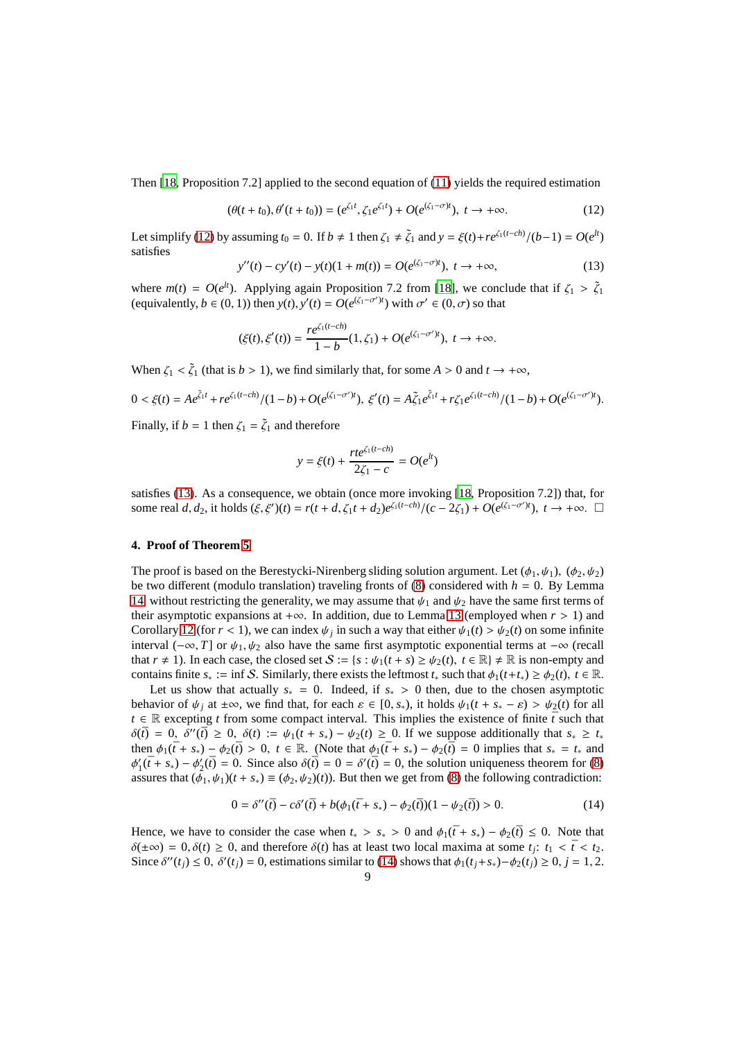Then [\[18,](#page-22-11) Proposition 7.2] applied to the second equation of [\(11\)](#page-7-0) yields the required estimation

<span id="page-8-1"></span>
$$
(\theta(t+t_0), \theta'(t+t_0)) = (e^{\zeta_1 t}, \zeta_1 e^{\zeta_1 t}) + O(e^{(\zeta_1 - \sigma)t}), \ t \to +\infty.
$$
 (12)

Let simplify [\(12\)](#page-8-1) by assuming  $t_0 = 0$ . If  $b \neq 1$  then  $\zeta_1 \neq \tilde{\zeta}_1$  and  $y = \xi(t) + re^{\zeta_1(t-ch)}/(b-1) = O(e^{lt})$ satisfies

<span id="page-8-2"></span>
$$
y''(t) - cy'(t) - y(t)(1 + m(t)) = O(e^{(\zeta_1 - \sigma)t}), \ t \to +\infty,
$$
\n(13)

where  $m(t) = O(e^{lt})$ . Applying again Proposition 7.2 from [\[18](#page-22-11)], we conclude that if  $\zeta_1 > \tilde{\zeta}_1$ (equivalently,  $b \in (0, 1)$ ) then  $y(t)$ ,  $y'(t) = O(e^{(\zeta_1 - \sigma')t})$  with  $\sigma' \in (0, \sigma)$  so that

$$
(\xi(t), \xi'(t)) = \frac{re^{\zeta_1(t-ch)}}{1-b}(1,\zeta_1) + O(e^{(\zeta_1-\sigma')t}), \ t \to +\infty.
$$

When  $\zeta_1 < \tilde{\zeta}_1$  (that is  $b > 1$ ), we find similarly that, for some  $A > 0$  and  $t \to +\infty$ ,

$$
0 < \xi(t) = Ae^{\tilde{\zeta}_1 t} + re^{\zeta_1(t-ch)}/(1-b) + O(e^{(\zeta_1 - \sigma')t}), \ \xi'(t) = A\tilde{\zeta}_1 e^{\tilde{\zeta}_1 t} + r\zeta_1 e^{\zeta_1(t-ch)}/(1-b) + O(e^{(\zeta_1 - \sigma')t}).
$$

Finally, if  $b = 1$  then  $\zeta_1 = \tilde{\zeta}_1$  and therefore

$$
y = \xi(t) + \frac{rte^{\zeta_1(t-ch)}}{2\zeta_1 - c} = O(e^{lt})
$$

satisfies [\(13\)](#page-8-2). As a consequence, we obtain (once more invoking [\[18](#page-22-11), Proposition 7.2]) that, for some real *d*, *d*<sub>2</sub>, it holds  $(\xi, \xi')(t) = r(t + d, \xi_1 t + d_2)e^{\xi_1(t - ch)}/(c - 2\xi_1) + O(e^{(\xi_1 - \sigma')t}), t \to +\infty$ . □

### <span id="page-8-0"></span>**4. Proof of Theorem [5](#page-3-1)**

The proof is based on the Berestycki-Nirenberg sliding solution argument. Let  $(\phi_1, \psi_1), (\phi_2, \psi_2)$ be two different (modulo translation) traveling fronts of  $(8)$  considered with  $h = 0$ . By Lemma [14,](#page-7-1) without restricting the generality, we may assume that  $\psi_1$  and  $\psi_2$  have the same first terms of their asymptotic expansions at +∞. In addition, due to Lemma [13](#page-7-2) (employed when  $r > 1$ ) and Corollary [12](#page-7-3) (for  $r < 1$ ), we can index  $\psi_j$  in such a way that either  $\psi_1(t) > \psi_2(t)$  on some infinite interval ( $-\infty$ , *T*] or  $\psi_1, \psi_2$  also have the same first asymptotic exponential terms at  $-\infty$  (recall that  $r \neq 1$ ). In each case, the closed set  $S := \{s : \psi_1(t + s) \geq \psi_2(t), t \in \mathbb{R} \} \neq \mathbb{R}$  is non-empty and contains finite  $s_* := \inf S$ . Similarly, there exists the leftmost  $t_*$  such that  $\phi_1(t+t_*) \geq \phi_2(t)$ ,  $t \in \mathbb{R}$ .

Let us show that actually  $s_* = 0$ . Indeed, if  $s_* > 0$  then, due to the chosen asymptotic behavior of  $\psi_i$  at  $\pm \infty$ , we find that, for each  $\varepsilon \in [0, s_*)$ , it holds  $\psi_1(t + s_* - \varepsilon) > \psi_2(t)$  for all  $t \in \mathbb{R}$  excepting *t* from some compact interval. This implies the existence of finite  $\bar{t}$  such that  $\delta(\bar{t}) = 0$ ,  $\delta''(\bar{t}) \geq 0$ ,  $\delta(t) := \psi_1(t + s_*) - \psi_2(t) \geq 0$ . If we suppose additionally that  $s_* \geq t_*$ then  $\phi_1(\bar{t} + s_*) - \phi_2(\bar{t}) > 0$ ,  $t \in \mathbb{R}$ . (Note that  $\phi_1(\bar{t} + s_*) - \phi_2(\bar{t}) = 0$  implies that  $s_* = t_*$  and  $\phi'_1(\bar{t} + s_*) - \phi'_2(\bar{t}) = 0$ . Since also  $\delta(\bar{t}) = 0 = \delta'(\bar{t}) = 0$ , the solution uniqueness theorem for [\(8\)](#page-5-2) assures that  $(\phi_1, \psi_1)(t + s_*) \equiv (\phi_2, \psi_2)(t)$ . But then we get from [\(8\)](#page-5-2) the following contradiction:

<span id="page-8-3"></span>
$$
0 = \delta''(\bar{t}) - c\delta'(\bar{t}) + b(\phi_1(\bar{t} + s_*) - \phi_2(\bar{t}))(1 - \psi_2(\bar{t})) > 0.
$$
 (14)

Hence, we have to consider the case when  $t_* > s_* > 0$  and  $\phi_1(\bar{t} + s_*) - \phi_2(\bar{t}) \leq 0$ . Note that  $\delta(\pm\infty) = 0, \delta(t) \ge 0$ , and therefore  $\delta(t)$  has at least two local maxima at some  $t_j$ :  $t_1 < \bar{t} < t_2$ . Since  $\delta''(t_j) \leq 0$ ,  $\delta'(t_j) = 0$ , estimations similar to [\(14\)](#page-8-3) shows that  $\phi_1(t_j + s_*) - \phi_2(t_j) \geq 0$ ,  $j = 1, 2$ .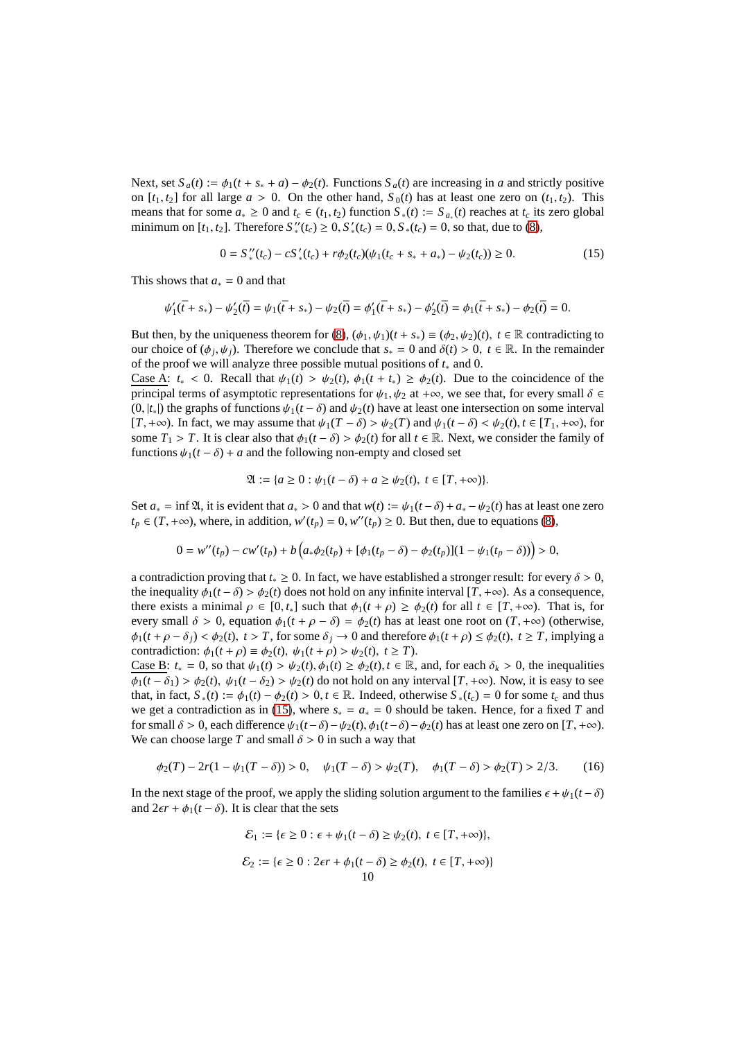Next, set  $S_a(t) := \phi_1(t + s_* + a) - \phi_2(t)$ . Functions  $S_a(t)$  are increasing in *a* and strictly positive on  $[t_1, t_2]$  for all large  $a > 0$ . On the other hand,  $S_0(t)$  has at least one zero on  $(t_1, t_2)$ . This means that for some  $a_* \ge 0$  and  $t_c \in (t_1, t_2)$  function  $S_*(t) := S_{a_*}(t)$  reaches at  $t_c$  its zero global minimum on  $[t_1, t_2]$ . Therefore  $S''_*(t_c) \ge 0, S'_*(t_c) = 0, S_*(t_c) = 0$ , so that, due to [\(8\)](#page-5-2),

<span id="page-9-0"></span>
$$
0 = S''_{*}(t_c) - cS'_{*}(t_c) + r\phi_2(t_c)(\psi_1(t_c + s_* + a_*) - \psi_2(t_c)) \ge 0.
$$
\n<sup>(15)</sup>

This shows that *a*<sup>∗</sup> = 0 and that

$$
\psi_1'(\bar{t} + s_*) - \psi_2'(\bar{t}) = \psi_1(\bar{t} + s_*) - \psi_2(\bar{t}) = \phi_1'(\bar{t} + s_*) - \phi_2'(\bar{t}) = \phi_1(\bar{t} + s_*) - \phi_2(\bar{t}) = 0.
$$

But then, by the uniqueness theorem for [\(8\)](#page-5-2),  $(\phi_1, \psi_1)(t + s_*) \equiv (\phi_2, \psi_2)(t)$ ,  $t \in \mathbb{R}$  contradicting to our choice of  $(\phi_j, \psi_j)$ . Therefore we conclude that  $s_* = 0$  and  $\delta(t) > 0$ ,  $t \in \mathbb{R}$ . In the remainder of the proof we will analyze three possible mutual positions of *t*<sup>∗</sup> and 0.

Case A:  $t_* < 0$ . Recall that  $\psi_1(t) > \psi_2(t)$ ,  $\phi_1(t + t_*) \ge \phi_2(t)$ . Due to the coincidence of the principal terms of asymptotic representations for  $\psi_1, \psi_2$  at + $\infty$ , we see that, for every small  $\delta \in$  $(0, |t<sub>*</sub>|)$  the graphs of functions  $\psi_1(t-\delta)$  and  $\psi_2(t)$  have at least one intersection on some interval [*T*, +∞). In fact, we may assume that  $\psi_1(T - \delta) > \psi_2(T)$  and  $\psi_1(t - \delta) < \psi_2(t)$ ,  $t \in [T_1, +\infty)$ , for some *T*<sub>1</sub> > *T*. It is clear also that  $\phi_1(t - \delta) > \phi_2(t)$  for all  $t \in \mathbb{R}$ . Next, we consider the family of functions  $\psi_1(t - \delta) + a$  and the following non-empty and closed set

$$
\mathfrak{A} := \{a \ge 0 : \psi_1(t - \delta) + a \ge \psi_2(t), \ t \in [T, +\infty)\}.
$$

Set  $a_* = \inf \mathfrak{A}$ , it is evident that  $a_* > 0$  and that  $w(t) := \psi_1(t - \delta) + a_* - \psi_2(t)$  has at least one zero *t*<sub>*p*</sub> ∈ (*T*, +∞), where, in addition,  $w'(t_p) = 0$ ,  $w''(t_p) \ge 0$ . But then, due to equations [\(8\)](#page-5-2),

$$
0 = w''(t_p) - cw'(t_p) + b\left(a_*\phi_2(t_p) + [\phi_1(t_p - \delta) - \phi_2(t_p)](1 - \psi_1(t_p - \delta))\right) > 0,
$$

a contradiction proving that  $t_* \geq 0$ . In fact, we have established a stronger result: for every  $\delta > 0$ , the inequality  $\phi_1(t - \delta) > \phi_2(t)$  does not hold on any infinite interval  $[T, +\infty)$ . As a consequence, there exists a minimal  $\rho \in [0, t_*]$  such that  $\phi_1(t + \rho) \ge \phi_2(t)$  for all  $t \in [T, +\infty)$ . That is, for every small  $\delta > 0$ , equation  $\phi_1(t + \rho - \delta) = \phi_2(t)$  has at least one root on  $(T, +\infty)$  (otherwise,  $\phi_1(t + \rho - \delta_i) < \phi_2(t)$ ,  $t > T$ , for some  $\delta_i \to 0$  and therefore  $\phi_1(t + \rho) \leq \phi_2(t)$ ,  $t \geq T$ , implying a contradiction:  $\phi_1(t + \rho) \equiv \phi_2(t), \psi_1(t + \rho) > \psi_2(t), t \geq T$ .

Case B:  $t_* = 0$ , so that  $\psi_1(t) > \psi_2(t), \phi_1(t) \ge \phi_2(t), t \in \mathbb{R}$ , and, for each  $\delta_k > 0$ , the inequalities  $\phi_1(t - \delta_1) > \phi_2(t)$ ,  $\psi_1(t - \delta_2) > \psi_2(t)$  do not hold on any interval  $[T, +\infty)$ . Now, it is easy to see that, in fact,  $S_*(t) := \phi_1(t) - \phi_2(t) > 0, t \in \mathbb{R}$ . Indeed, otherwise  $S_*(t_c) = 0$  for some  $t_c$  and thus we get a contradiction as in [\(15\)](#page-9-0), where  $s_* = a_* = 0$  should be taken. Hence, for a fixed *T* and for small  $\delta > 0$ , each difference  $\psi_1(t-\delta) - \psi_2(t)$ ,  $\phi_1(t-\delta) - \phi_2(t)$  has at least one zero on [*T*, +∞). We can choose large *T* and small  $\delta > 0$  in such a way that

<span id="page-9-1"></span>
$$
\phi_2(T) - 2r(1 - \psi_1(T - \delta)) > 0, \quad \psi_1(T - \delta) > \psi_2(T), \quad \phi_1(T - \delta) > \phi_2(T) > 2/3. \tag{16}
$$

In the next stage of the proof, we apply the sliding solution argument to the families  $\epsilon + \psi_1(t - \delta)$ and  $2\epsilon r + \phi_1(t - \delta)$ . It is clear that the sets

$$
\mathcal{E}_1 := \{ \epsilon \ge 0 : \epsilon + \psi_1(t - \delta) \ge \psi_2(t), \ t \in [T, +\infty) \},
$$
  

$$
\mathcal{E}_2 := \{ \epsilon \ge 0 : 2\epsilon r + \phi_1(t - \delta) \ge \phi_2(t), \ t \in [T, +\infty) \}
$$
  
10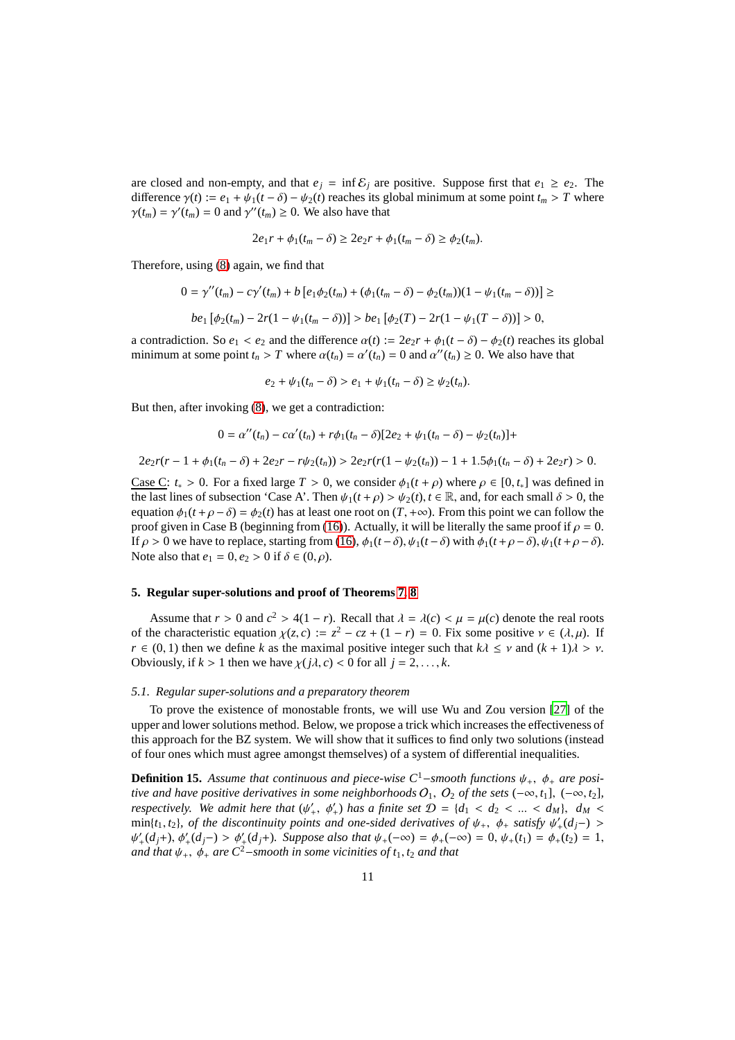are closed and non-empty, and that  $e_j = \inf \mathcal{E}_j$  are positive. Suppose first that  $e_1 \ge e_2$ . The difference  $\gamma(t) := e_1 + \psi_1(t - \delta) - \psi_2(t)$  reaches its global minimum at some point  $t_m > T$  where  $\gamma(t_m) = \gamma'(t_m) = 0$  and  $\gamma''(t_m) \ge 0$ . We also have that

$$
2e_1r + \phi_1(t_m - \delta) \ge 2e_2r + \phi_1(t_m - \delta) \ge \phi_2(t_m).
$$

Therefore, using [\(8\)](#page-5-2) again, we find that

$$
0 = \gamma''(t_m) - c\gamma'(t_m) + b[e_1\phi_2(t_m) + (\phi_1(t_m - \delta) - \phi_2(t_m))(1 - \psi_1(t_m - \delta))] \ge
$$
  

$$
be_1[\phi_2(t_m) - 2r(1 - \psi_1(t_m - \delta))] > be_1[\phi_2(T) - 2r(1 - \psi_1(T - \delta))] > 0,
$$

a contradiction. So  $e_1 < e_2$  and the difference  $\alpha(t) := 2e_2r + \phi_1(t - \delta) - \phi_2(t)$  reaches its global minimum at some point  $t_n > T$  where  $\alpha(t_n) = \alpha'(t_n) = 0$  and  $\alpha''(t_n) \ge 0$ . We also have that

$$
e_2 + \psi_1(t_n - \delta) > e_1 + \psi_1(t_n - \delta) \ge \psi_2(t_n).
$$

But then, after invoking [\(8\)](#page-5-2), we get a contradiction:

$$
0 = \alpha''(t_n) - c\alpha'(t_n) + r\phi_1(t_n - \delta)[2e_2 + \psi_1(t_n - \delta) - \psi_2(t_n)] +
$$

$$
2e_2r(r-1+\phi_1(t_n-\delta)+2e_2r-r\psi_2(t_n))>2e_2r(r(1-\psi_2(t_n))-1+1.5\phi_1(t_n-\delta)+2e_2r)>0.
$$

Case C:  $t_* > 0$ . For a fixed large  $T > 0$ , we consider  $\phi_1(t + \rho)$  where  $\rho \in [0, t_*]$  was defined in the last lines of subsection 'Case A'. Then  $\psi_1(t+\rho) > \psi_2(t)$ ,  $t \in \mathbb{R}$ , and, for each small  $\delta > 0$ , the equation  $\phi_1(t + \rho - \delta) = \phi_2(t)$  has at least one root on  $(T, +\infty)$ . From this point we can follow the proof given in Case B (beginning from [\(16\)](#page-9-1)). Actually, it will be literally the same proof if  $\rho = 0$ . If  $\rho > 0$  we have to replace, starting from [\(16\)](#page-9-1),  $\phi_1(t-\delta)$ ,  $\psi_1(t-\delta)$  with  $\phi_1(t+\rho-\delta)$ ,  $\psi_1(t+\rho-\delta)$ . Note also that  $e_1 = 0, e_2 > 0$  if  $\delta \in (0, \rho)$ .

#### **5. Regular super-solutions and proof of Theorems [7,](#page-3-0) [8](#page-4-1)**

Assume that  $r > 0$  and  $c^2 > 4(1 - r)$ . Recall that  $\lambda = \lambda(c) < \mu = \mu(c)$  denote the real roots of the characteristic equation  $\chi(z, c) := z^2 - cz + (1 - r) = 0$ . Fix some positive  $v \in (\lambda, \mu)$ . If *r* ∈ (0, 1) then we define *k* as the maximal positive integer such that  $k\lambda \leq \nu$  and  $(k + 1)\lambda > \nu$ . Obviously, if  $k > 1$  then we have  $\chi(j\lambda, c) < 0$  for all  $j = 2, ..., k$ .

#### <span id="page-10-0"></span>*5.1. Regular super-solutions and a preparatory theorem*

To prove the existence of monostable fronts, we will use Wu and Zou version [\[27](#page-22-4)] of the upper and lower solutions method. Below, we propose a trick which increases the effectiveness of this approach for the BZ system. We will show that it suffices to find only two solutions (instead of four ones which must agree amongst themselves) of a system of differential inequalities.

<span id="page-10-1"></span>**Definition 15.** Assume that continuous and piece-wise  $C^1$ −*smooth functions*  $\psi_+$ ,  $\phi_+$  *are positive and have positive derivatives in some neighborhoods*  $O_1$ ,  $O_2$  *of the sets* ( $-\infty$ ,  $t_1$ ], ( $-\infty$ ,  $t_2$ ], *respectively. We admit here that*  $(\psi'_+, \phi'_+)$  *has a finite set*  $\mathcal{D} = \{d_1 < d_2 < ... < d_M\}$ ,  $d_M <$ min{*t*<sub>1</sub>, *t*<sub>2</sub>}, *of the discontinuity points and one-sided derivatives of*  $\psi_+$ ,  $\phi_+$  *satisfy*  $\psi'_+(d_j-)$  >  $\psi'_{+}(d_j+), \, \phi'_{+}(d_j-) > \phi'_{+}(d_j+).$  Suppose also that  $\psi_{+}(-\infty) = \phi_{+}(-\infty) = 0, \, \psi_{+}(t_1) = \phi_{+}(t_2) = 1,$ *and that*  $\psi_+$ ,  $\phi_+$  *are C*<sup>2</sup>−*smooth in some vicinities of t*<sub>1</sub>, *t*<sub>2</sub> *and that*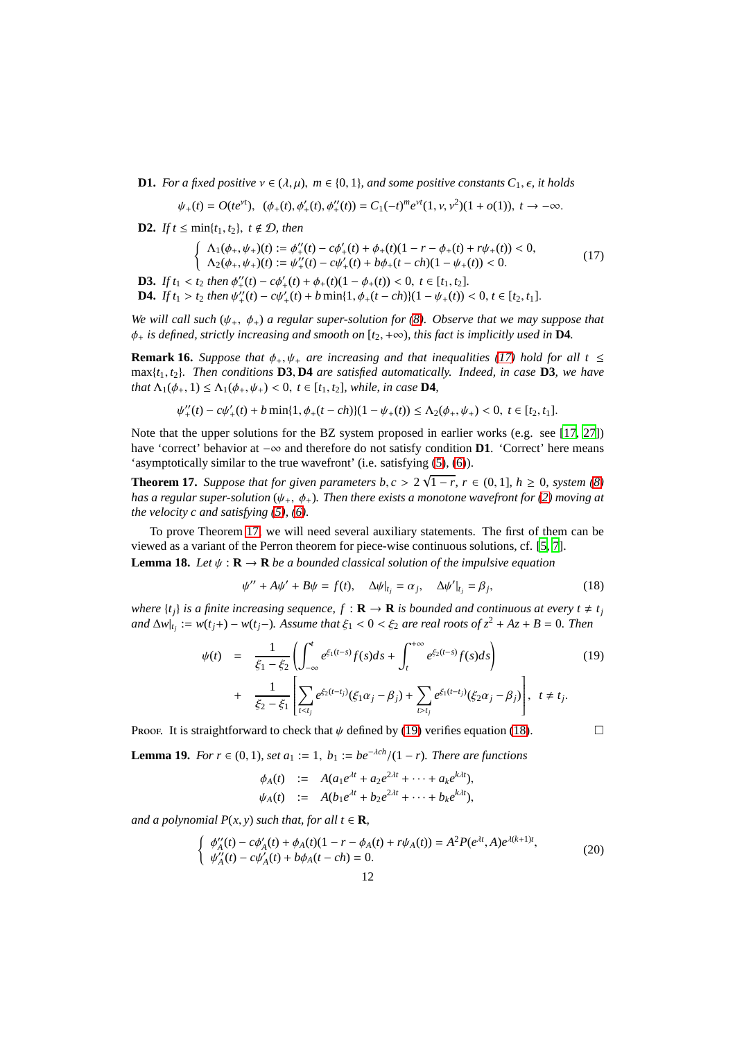**D1.** *For a fixed positive*  $v \in (\lambda, \mu)$ *,*  $m \in \{0, 1\}$ *<i>, and some positive constants*  $C_1$ *,*  $\epsilon$ *, it holds* 

$$
\psi_+(t) = O(te^{\nu t}), \ \ (\phi_+(t), \phi_+'(t), \phi_+''(t)) = C_1(-t)^m e^{\nu t} (1, \nu, \nu^2) (1 + o(1)), \ t \to -\infty.
$$

**D2.** *If*  $t \leq min\{t_1, t_2\}$ ,  $t \notin \mathcal{D}$ , then

<span id="page-11-1"></span>
$$
\begin{cases}\n\Lambda_1(\phi_+, \psi_+)(t) := \phi_+^{\prime\prime}(t) - c\phi_+'(t) + \phi_+(t)(1 - r - \phi_+(t) + r\psi_+(t)) < 0, \\
\Lambda_2(\phi_+, \psi_+)(t) := \psi_+^{\prime\prime}(t) - c\psi_+'(t) + b\phi_+(t - ch)(1 - \psi_+(t)) < 0.\n\end{cases} \tag{17}
$$

**D3.** *If*  $t_1 < t_2$  *then*  $\phi''_+(t) - c\phi'_+(t) + \phi_+(t)(1 - \phi_+(t)) < 0, t \in [t_1, t_2]$ .

**D4.** *If*  $t_1 > t_2$  *then*  $\psi''_+(t) - c\psi'_+(t) + b \min\{1, \phi_+(t - ch)\}(1 - \psi_+(t)) < 0, t \in [t_2, t_1].$ 

*We will call such* (ψ+, φ+) *a regular super-solution for [\(8\)](#page-5-2). Observe that we may suppose that*  $\phi_+$  *is defined, strictly increasing and smooth on*  $[t_2, +\infty)$ *, this fact is implicitly used in* **D4***.* 

**Remark 16.** *Suppose that*  $\phi_+, \psi_+$  *are increasing and that inequalities* [\(17\)](#page-11-1) *hold for all*  $t \leq$ max $\{t_1, t_2\}$ . Then conditions **D3**, **D4** are satisfied automatically. Indeed, in case **D3**, we have *that*  $\Lambda_1(\phi_+, 1) \leq \Lambda_1(\phi_+, \psi_+) < 0$ ,  $t \in [t_1, t_2]$ , while, in case **D4***,* 

$$
\psi''_+(t) - c\psi'_+(t) + b\min\{1, \phi_+(t-ch)\}(1 - \psi_+(t)) \le \Lambda_2(\phi_+, \psi_+) < 0, \ t \in [t_2, t_1].
$$

Note that the upper solutions for the BZ system proposed in earlier works (e.g. see [\[17,](#page-22-7) [27](#page-22-4)]) have 'correct' behavior at −∞ and therefore do not satisfy condition **D1**. 'Correct' here means 'asymptotically similar to the true wavefront' (i.e. satisfying [\(5\)](#page-4-3), [\(6\)](#page-4-4)).

<span id="page-11-0"></span>**Theorem 17.** *Suppose that for given parameters b, c* >  $2\sqrt{1-r}$ ,  $r \in (0,1]$ ,  $h \ge 0$ , system [\(8\)](#page-5-2) *has a regular super-solution* ( $\psi_+$ ,  $\phi_+$ ). Then there exists a monotone wavefront for [\(2\)](#page-1-1) moving at *the velocity c and satisfying [\(5\)](#page-4-3), [\(6\)](#page-4-4).*

<span id="page-11-6"></span>To prove Theorem [17,](#page-11-0) we will need several auxiliary statements. The first of them can be viewed as a variant of the Perron theorem for piece-wise continuous solutions, cf. [\[5,](#page-21-11) [7\]](#page-21-12). **Lemma 18.** Let  $\psi$  :  $\mathbf{R} \to \mathbf{R}$  *be a bounded classical solution of the impulsive equation* 

<span id="page-11-3"></span>
$$
\psi'' + A\psi' + B\psi = f(t), \quad \Delta\psi|_{t_j} = \alpha_j, \quad \Delta\psi'|_{t_j} = \beta_j,
$$
\n(18)

*where*  $\{t_i\}$  *is a finite increasing sequence,*  $f: \mathbf{R} \to \mathbf{R}$  *is bounded and continuous at every*  $t \neq t_i$  $\int \frac{dx}{dt}$  :=  $w(t_j+) - w(t_j-)$ . Assume that  $\xi_1 < 0 < \xi_2$  are real roots of  $z^2 + Az + B = 0$ . Then

<span id="page-11-2"></span>
$$
\psi(t) = \frac{1}{\xi_1 - \xi_2} \left( \int_{-\infty}^t e^{\xi_1(t-s)} f(s) ds + \int_t^{+\infty} e^{\xi_2(t-s)} f(s) ds \right) + \frac{1}{\xi_2 - \xi_1} \left[ \sum_{t < t_j} e^{\xi_2(t-t_j)} (\xi_1 \alpha_j - \beta_j) + \sum_{t > t_j} e^{\xi_1(t-t_j)} (\xi_2 \alpha_j - \beta_j) \right], \quad t \neq t_j.
$$
\n(19)

<span id="page-11-5"></span>Proof. It is straightforward to check that  $\psi$  defined by [\(19\)](#page-11-2) verifies equation [\(18\)](#page-11-3).

**Lemma 19.** *For r* ∈ (0, 1)*, set*  $a_1 := 1$ *,*  $b_1 := be^{-\lambda ch}/(1 - r)$ *. There are functions* 

$$
\begin{array}{lll} \phi_A(t) & := & A(a_1e^{\lambda t} + a_2e^{2\lambda t} + \dots + a_ke^{k\lambda t}), \\ \psi_A(t) & := & A(b_1e^{\lambda t} + b_2e^{2\lambda t} + \dots + b_ke^{k\lambda t}), \end{array}
$$

*and a polynomial*  $P(x, y)$  *such that, for all*  $t \in \mathbf{R}$ *,* 

<span id="page-11-4"></span>
$$
\begin{cases}\n\phi''_A(t) - c\phi'_A(t) + \phi_A(t)(1 - r - \phi_A(t) + r\psi_A(t)) = A^2 P(e^{\lambda t}, A)e^{\lambda(k+1)t}, \\
\psi''_A(t) - c\psi'_A(t) + b\phi_A(t - ch) = 0.\n\end{cases}
$$
\n(20)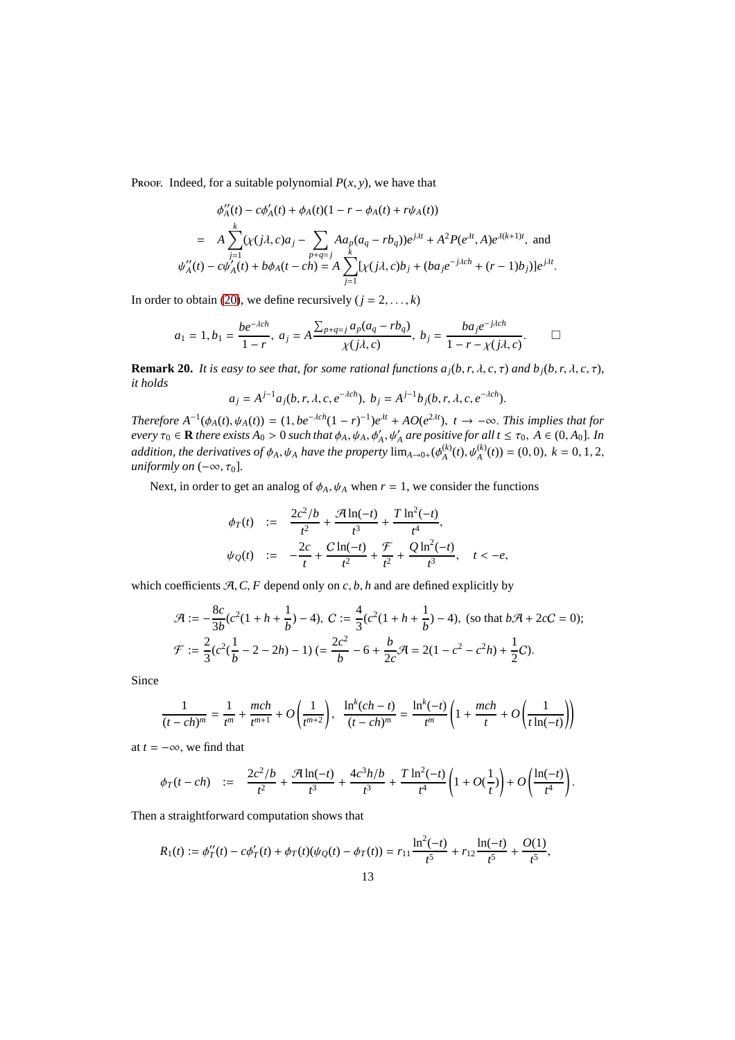Proof. Indeed, for a suitable polynomial  $P(x, y)$ , we have that

$$
\phi''_A(t) - c\phi'_A(t) + \phi_A(t)(1 - r - \phi_A(t) + r\psi_A(t))
$$
  
=  $A \sum_{j=1}^k (\chi(j\lambda, c)a_j - \sum_{\substack{p+q=j\\p+q=j}} A a_p (a_q - rb_q))e^{j\lambda t} + A^2 P(e^{\lambda t}, A)e^{\lambda(k+1)t}$ , and  
 $\psi''_A(t) - c\psi'_A(t) + b\phi_A(t - ch) = A \sum_{j=1}^k [\chi(j\lambda, c)b_j + (ba_je^{-j\lambda ch} + (r-1)b_j)]e^{j\lambda t}$ .

In order to obtain [\(20\)](#page-11-4), we define recursively ( $j = 2, ..., k$ )

$$
a_1 = 1, b_1 = \frac{be^{-\lambda ch}}{1 - r}, \ a_j = A \frac{\sum_{p+q=j} a_p (a_q - rb_q)}{\chi(j\lambda, c)}, \ b_j = \frac{ba_j e^{-j\lambda ch}}{1 - r - \chi(j\lambda, c)}.
$$

<span id="page-12-0"></span>**Remark 20.** *It is easy to see that, for some rational functions*  $a_j(b, r, \lambda, c, \tau)$  *and*  $b_j(b, r, \lambda, c, \tau)$ *, it holds*

$$
a_j = A^{j-1}a_j(b, r, \lambda, c, e^{-\lambda ch}), b_j = A^{j-1}b_j(b, r, \lambda, c, e^{-\lambda ch}).
$$

*Therefore*  $A^{-1}(\phi_A(t), \psi_A(t)) = (1, be^{-\lambda ch}(1 - r)^{-1})e^{\lambda t} + AO(e^{2\lambda t}), t \to -\infty$ . *This implies that for*  $every \tau_0 \in \mathbf{R}$  *there exists*  $A_0 > 0$  *such that*  $\phi_A$ ,  $\psi_A$ ,  $\phi'_A$ ,  $\psi'_A$  are positive for all  $t \le \tau_0$ ,  $A \in (0, A_0]$ . In *addition, the derivatives of*  $\phi_A$ ,  $\psi_A$  *have the property*  $\lim_{A\to 0+} (\phi_A^{(k)}$  $\mathcal{A}_{A}^{(k)}(t), \psi_{A}^{(k)}(t) = (0, 0), k = 0, 1, 2,$ *uniformly on*  $(-\infty, \tau_0]$ *.* 

Next, in order to get an analog of  $\phi_A$ ,  $\psi_A$  when  $r = 1$ , we consider the functions

$$
\begin{array}{rcl}\n\phi_T(t) & := & \frac{2c^2/b}{t^2} + \frac{\mathcal{A}\ln(-t)}{t^3} + \frac{T\ln^2(-t)}{t^4}, \\
\psi_Q(t) & := & -\frac{2c}{t} + \frac{C\ln(-t)}{t^2} + \frac{\mathcal{F}}{t^2} + \frac{Q\ln^2(-t)}{t^3}, \quad t < -e,\n\end{array}
$$

which coefficients  $A, C, F$  depend only on  $c, b, h$  and are defined explicitly by

$$
\mathcal{A} := -\frac{8c}{3b}(c^2(1+h+\frac{1}{b})-4), \ C := \frac{4}{3}(c^2(1+h+\frac{1}{b})-4), \text{ (so that } b\mathcal{A} + 2cC = 0);
$$
\n
$$
\mathcal{F} := \frac{2}{3}(c^2(\frac{1}{b}-2-2h)-1) \left( = \frac{2c^2}{b}-6+\frac{b}{2c}\mathcal{A} = 2(1-c^2-c^2h)+\frac{1}{2}C \right).
$$

Since

$$
\frac{1}{(t-ch)^m} = \frac{1}{t^m} + \frac{mch}{t^{m+1}} + O\left(\frac{1}{t^{m+2}}\right), \quad \frac{\ln^k(ch-t)}{(t-ch)^m} = \frac{\ln^k(-t)}{t^m} \left(1 + \frac{mch}{t} + O\left(\frac{1}{t\ln(-t)}\right)\right)
$$

at  $t = -\infty$ , we find that

$$
\phi_T(t-ch) \quad := \quad \frac{2c^2/b}{t^2} + \frac{\mathcal{A}\ln(-t)}{t^3} + \frac{4c^3h/b}{t^3} + \frac{T\ln^2(-t)}{t^4} \left(1 + O(\frac{1}{t})\right) + O\left(\frac{\ln(-t)}{t^4}\right).
$$

Then a straightforward computation shows that

$$
R_1(t) := \phi_T''(t) - c\phi_T'(t) + \phi_T(t)(\psi_Q(t) - \phi_T(t)) = r_{11}\frac{\ln^2(-t)}{t^5} + r_{12}\frac{\ln(-t)}{t^5} + \frac{O(1)}{t^5},
$$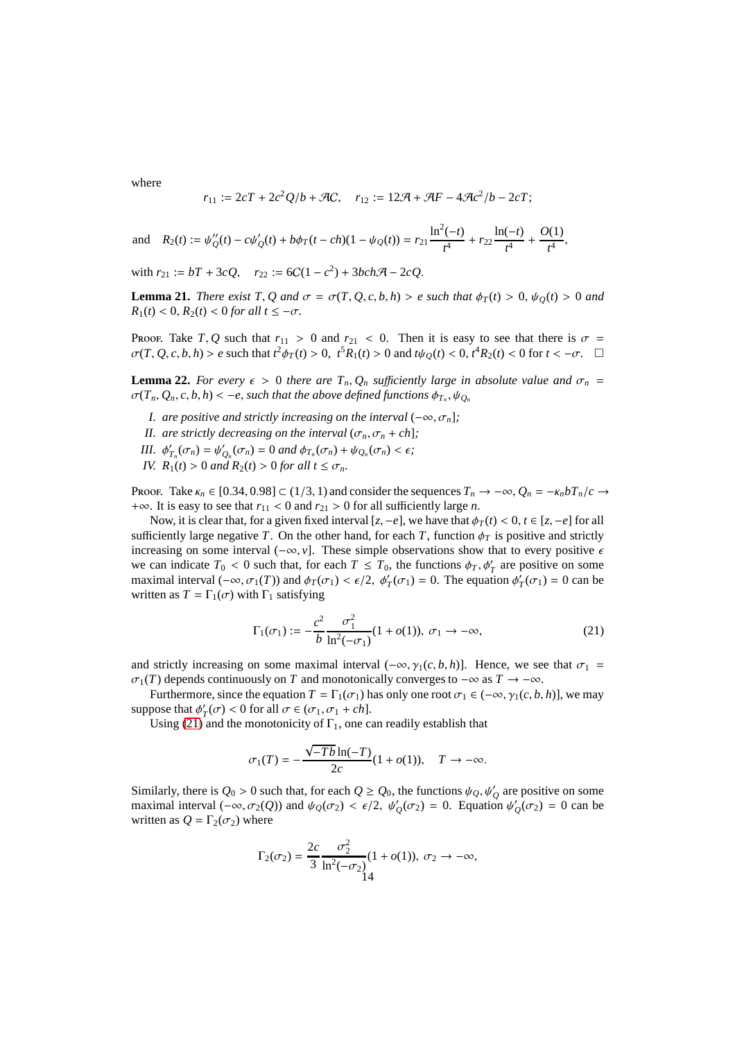where

<span id="page-13-1"></span>
$$
r_{11} := 2cT + 2c^2Q/b + \mathcal{A}C, \quad r_{12} := 12\mathcal{A} + \mathcal{A}F - 4\mathcal{A}c^2/b - 2cT;
$$

and 
$$
R_2(t) := \psi''_Q(t) - c\psi'_Q(t) + b\phi_T(t - ch)(1 - \psi_Q(t)) = r_{21}\frac{\ln^2(-t)}{t^4} + r_{22}\frac{\ln(-t)}{t^4} + \frac{O(1)}{t^4},
$$

with  $r_{21} := bT + 3cQ$ ,  $r_{22} := 6C(1 - c^2) + 3bch\mathcal{A} - 2cQ$ .

**Lemma 21.** *There exist T*, *Q* and  $\sigma = \sigma(T, Q, c, b, h) > e$  such that  $\phi_T(t) > 0$ ,  $\psi_O(t) > 0$  and  $R_1(t) < 0, R_2(t) < 0$  *for all*  $t \le -\sigma$ *.* 

Proof. Take *T*, *Q* such that  $r_{11} > 0$  and  $r_{21} < 0$ . Then it is easy to see that there is  $\sigma =$  $\sigma(T, Q, c, b, h) > e$  such that  $t^2 \phi_T(t) > 0$ ,  $t^5 R_1(t) > 0$  and  $t \psi_Q(t) < 0$ ,  $t^4 R_2(t) < 0$  for  $t < -\sigma$ .  $\Box$ 

<span id="page-13-2"></span>**Lemma 22.** *For every*  $\epsilon > 0$  *there are*  $T_n, Q_n$  *sufficiently large in absolute value and*  $\sigma_n =$  $\sigma(T_n, Q_n, c, b, h) < -e$ , such that the above defined functions  $\phi_{T_n}, \psi_{Q_n}$ 

- *I. are positive and strictly increasing on the interval*  $(-\infty, \sigma_n]$ *;*
- *II. are strictly decreasing on the interval*  $(\sigma_n, \sigma_n + ch)$ *;*
- *III.*  $\phi'_{T_n}(\sigma_n) = \psi'_{Q_n}(\sigma_n) = 0$  *and*  $\phi_{T_n}(\sigma_n) + \psi_{Q_n}(\sigma_n) < \epsilon$ ;
- *IV.*  $R_1(t) > 0$  *and*  $R_2(t) > 0$  *for all*  $t \leq \sigma_n$ *.*

Proof. Take  $\kappa_n \in [0.34, 0.98] \subset (1/3, 1)$  and consider the sequences  $T_n \to -\infty$ ,  $Q_n = -\kappa_n bT_n/c \to$ +∞. It is easy to see that  $r_{11}$  < 0 and  $r_{21}$  > 0 for all sufficiently large *n*.

Now, it is clear that, for a given fixed interval  $[z, -e]$ , we have that  $\phi_T(t) < 0, t \in [z, -e]$  for all sufficiently large negative *T*. On the other hand, for each *T*, function  $\phi_T$  is positive and strictly increasing on some interval  $(-\infty, v]$ . These simple observations show that to every positive  $\epsilon$ we can indicate  $T_0 < 0$  such that, for each  $T \leq T_0$ , the functions  $\phi_T$ ,  $\phi'_T$  are positive on some maximal interval  $(-\infty, \sigma_1(T))$  and  $\phi_T(\sigma_1) < \epsilon/2$ ,  $\phi'_T(\sigma_1) = 0$ . The equation  $\phi'_T(\sigma_1) = 0$  can be written as  $T = \Gamma_1(\sigma)$  with  $\Gamma_1$  satisfying

<span id="page-13-0"></span>
$$
\Gamma_1(\sigma_1) := -\frac{c^2}{b} \frac{\sigma_1^2}{\ln^2(-\sigma_1)} (1 + o(1)), \ \sigma_1 \to -\infty,
$$
\n(21)

and strictly increasing on some maximal interval  $(-\infty, \gamma_1(c, b, h))$ . Hence, we see that  $\sigma_1$  =  $\sigma_1(T)$  depends continuously on *T* and monotonically converges to  $-\infty$  as  $T \to -\infty$ .

Furthermore, since the equation  $T = \Gamma_1(\sigma_1)$  has only one root  $\sigma_1 \in (-\infty, \gamma_1(c, b, h)]$ , we may suppose that  $\phi'_T(\sigma) < 0$  for all  $\sigma \in (\sigma_1, \sigma_1 + ch]$ .

Using [\(21\)](#page-13-0) and the monotonicity of  $\Gamma_1$ , one can readily establish that

$$
\sigma_1(T) = -\frac{\sqrt{-Tb}\ln(-T)}{2c}(1+o(1)), \quad T \to -\infty.
$$

Similarly, there is  $Q_0 > 0$  such that, for each  $Q \geq Q_0$ , the functions  $\psi_Q, \psi_Q'$  are positive on some maximal interval  $(-\infty, \sigma_2(Q))$  and  $\psi_Q(\sigma_2) < \epsilon/2$ ,  $\psi'_Q(\sigma_2) = 0$ . Equation  $\psi'_Q(\sigma_2) = 0$  can be written as  $Q = \Gamma_2(\sigma_2)$  where

$$
\Gamma_2(\sigma_2) = \frac{2c}{3} \frac{\sigma_2^2}{\ln^2(-\sigma_2)} (1 + o(1)), \ \sigma_2 \to -\infty,
$$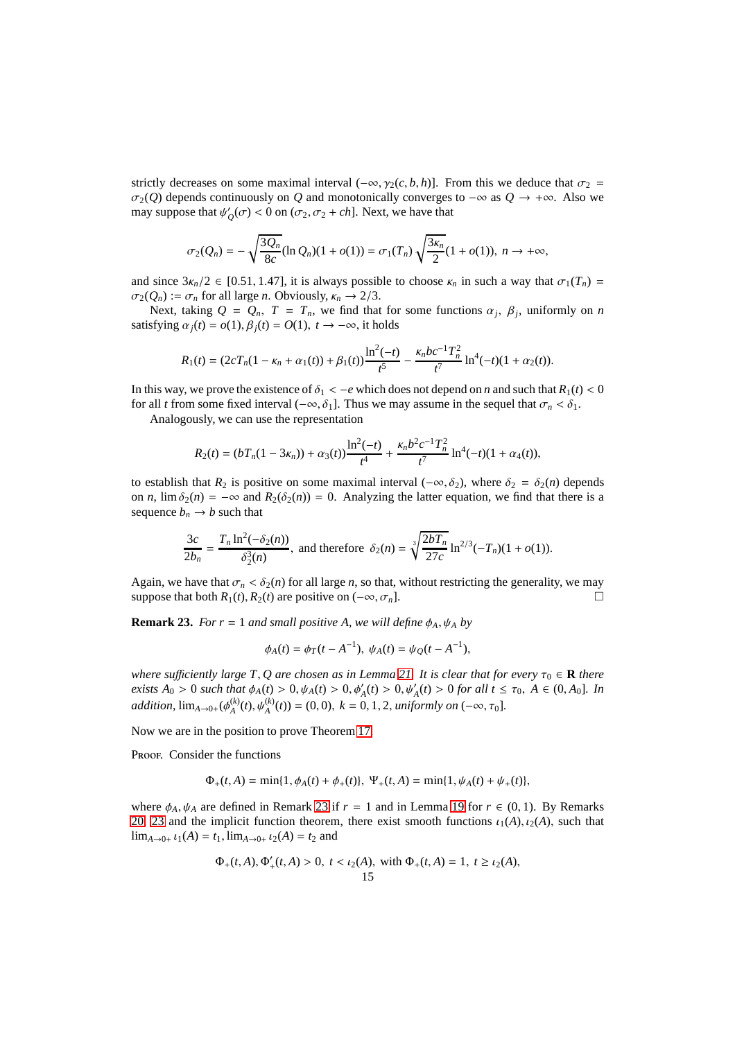strictly decreases on some maximal interval  $(-\infty, \gamma_2(c, b, h)]$ . From this we deduce that  $\sigma_2$  $\sigma_2(Q)$  depends continuously on *Q* and monotonically converges to  $-\infty$  as  $Q \to +\infty$ . Also we may suppose that  $\psi'_{Q}(\sigma) < 0$  on  $(\sigma_2, \sigma_2 + ch]$ . Next, we have that

$$
\sigma_2(Q_n) = -\sqrt{\frac{3Q_n}{8c}} (\ln Q_n)(1 + o(1)) = \sigma_1(T_n) \sqrt{\frac{3\kappa_n}{2}} (1 + o(1)), \ n \to +\infty,
$$

and since  $3\kappa_n/2 \in [0.51, 1.47]$ , it is always possible to choose  $\kappa_n$  in such a way that  $\sigma_1(T_n)$  $\sigma_2(Q_n) := \sigma_n$  for all large *n*. Obviously,  $\kappa_n \to 2/3$ .

Next, taking  $Q = Q_n$ ,  $T = T_n$ , we find that for some functions  $\alpha_j$ ,  $\beta_j$ , uniformly on *n* satisfying  $\alpha_i(t) = o(1), \beta_i(t) = O(1), t \rightarrow -\infty$ , it holds

$$
R_1(t) = (2cT_n(1 - \kappa_n + \alpha_1(t)) + \beta_1(t))\frac{\ln^2(-t)}{t^5} - \frac{\kappa_n b c^{-1} T_n^2}{t^7} \ln^4(-t)(1 + \alpha_2(t)).
$$

In this way, we prove the existence of  $\delta_1 < -e$  which does not depend on *n* and such that  $R_1(t) < 0$ for all *t* from some fixed interval  $(-\infty, \delta_1]$ . Thus we may assume in the sequel that  $\sigma_n < \delta_1$ .

Analogously, we can use the representation

$$
R_2(t) = (bT_n(1 - 3\kappa_n)) + \alpha_3(t)\frac{\ln^2(-t)}{t^4} + \frac{\kappa_n b^2 c^{-1} T_n^2}{t^7} \ln^4(-t)(1 + \alpha_4(t)),
$$

to establish that  $R_2$  is positive on some maximal interval ( $-\infty$ ,  $\delta_2$ ), where  $\delta_2 = \delta_2(n)$  depends on *n*,  $\lim \delta_2(n) = -\infty$  and  $R_2(\delta_2(n)) = 0$ . Analyzing the latter equation, we find that there is a sequence  $b_n \rightarrow b$  such that

$$
\frac{3c}{2b_n} = \frac{T_n \ln^2(-\delta_2(n))}{\delta_2^3(n)},
$$
 and therefore  $\delta_2(n) = \sqrt[3]{\frac{2bT_n}{27c}} \ln^{2/3}(-T_n)(1 + o(1)).$ 

Again, we have that  $\sigma_n < \delta_2(n)$  for all large *n*, so that, without restricting the generality, we may suppose that both  $R_1(t)$ ,  $R_2(t)$  are positive on  $(-\infty, \sigma_n]$ .

<span id="page-14-0"></span>**Remark 23.** *For r* = 1 *and small positive A, we will define*  $\phi_A$ ,  $\psi_A$  *by* 

$$
\phi_A(t) = \phi_T(t - A^{-1}), \ \psi_A(t) = \psi_Q(t - A^{-1}),
$$

*where sufficiently large T, Q are chosen as in Lemma [21.](#page-13-1) It is clear that for every*  $\tau_0 \in \mathbf{R}$  *there exists*  $A_0 > 0$  *such that*  $\phi_A(t) > 0$ ,  $\psi_A(t) > 0$ ,  $\phi'_A(t) > 0$ ,  $\psi'_A(t) > 0$  *for all*  $t \le \tau_0$ ,  $A \in (0, A_0]$ *. In addition,*  $\lim_{A\to 0+} (\phi_A^{(k)}$  $A_A^{(k)}(t), \psi_A^{(k)}(t) = (0, 0), k = 0, 1, 2,$  *uniformly on*  $(-\infty, \tau_0]$ *.* 

Now we are in the position to prove Theorem [17.](#page-11-0)

PROOF. Consider the functions

$$
\Phi_+(t,A) = \min\{1,\phi_A(t) + \phi_+(t)\}, \ \Psi_+(t,A) = \min\{1,\psi_A(t) + \psi_+(t)\},
$$

where  $\phi_A$ ,  $\psi_A$  are defined in Remark [23](#page-14-0) if  $r = 1$  and in Lemma [19](#page-11-5) for  $r \in (0, 1)$ . By Remarks [20,](#page-12-0) [23](#page-14-0) and the implicit function theorem, there exist smooth functions  $\iota_1(A), \iota_2(A)$ , such that  $\lim_{A\to 0+} \iota_1(A) = t_1$ ,  $\lim_{A\to 0+} \iota_2(A) = t_2$  and

$$
\Phi_+(t,A), \Phi'_+(t,A) > 0, \ t < \iota_2(A), \text{ with } \Phi_+(t,A) = 1, \ t \geq \iota_2(A),
$$
\n
$$
15
$$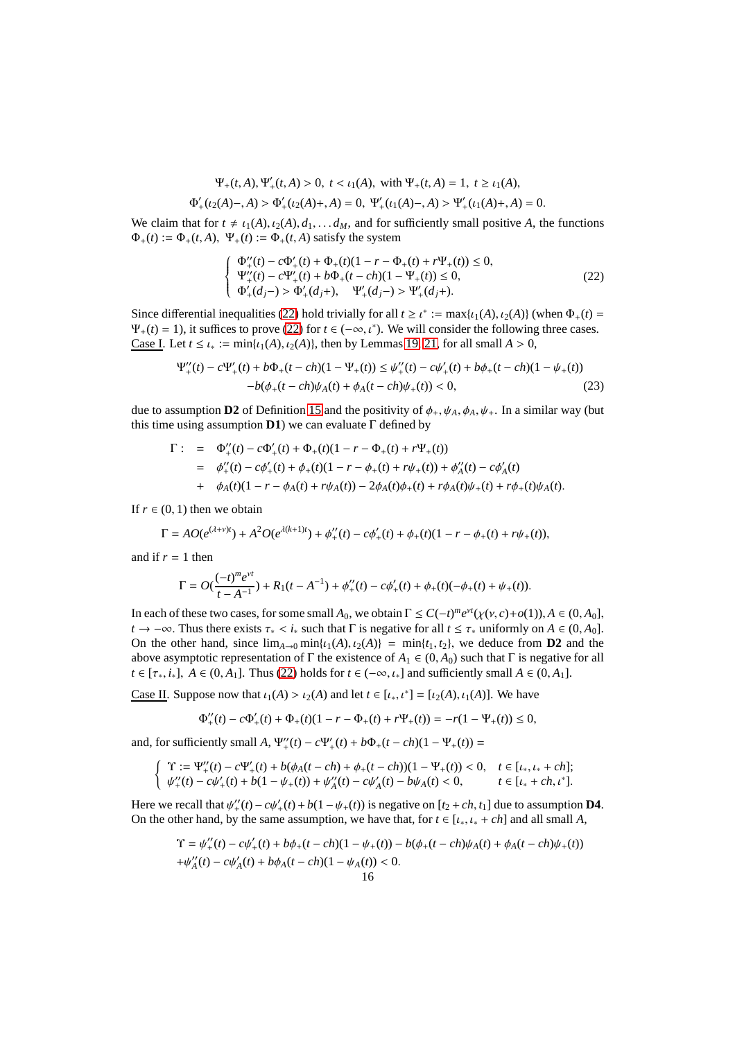$$
\Psi_+(t,A), \Psi'_+(t,A) > 0, \ t < \iota_1(A), \text{ with } \Psi_+(t,A) = 1, \ t \geq \iota_1(A),
$$

$$
\Phi'_+(t_2(A)-,A) > \Phi'_+(t_2(A)+,A) = 0, \ \Psi'_+(t_1(A)-,A) > \Psi'_+(t_1(A)+,A) = 0.
$$

We claim that for  $t \neq \iota_1(A), \iota_2(A), d_1, \ldots, d_M$ , and for sufficiently small positive *A*, the functions  $\Phi_+(t) := \Phi_+(t, A), \ \Psi_+(t) := \Phi_+(t, A)$  satisfy the system

<span id="page-15-0"></span>
$$
\begin{cases} \Phi''_{+}(t) - c\Phi'_{+}(t) + \Phi_{+}(t)(1 - r - \Phi_{+}(t) + r\Psi_{+}(t)) \le 0, \\ \Psi''_{+}(t) - c\Psi'_{+}(t) + b\Phi_{+}(t - ch)(1 - \Psi_{+}(t)) \le 0, \\ \Phi'_{+}(d_{j-}) > \Phi'_{+}(d_{j+}), \quad \Psi'_{+}(d_{j-}) > \Psi'_{+}(d_{j+}). \end{cases}
$$
(22)

Since differential inequalities [\(22\)](#page-15-0) hold trivially for all  $t \ge t^* := \max\{t_1(A), t_2(A)\}$  (when  $\Phi_+(t) =$  $\Psi_+(t) = 1$ ), it suffices to prove [\(22\)](#page-15-0) for  $t \in (-\infty, t^*)$ . We will consider the following three cases. Case I. Let  $t \leq t_* := \min\{t_1(A), t_2(A)\}$ , then by Lemmas [19,](#page-11-5) [21,](#page-13-1) for all small  $A > 0$ ,

$$
\Psi_{+}''(t) - c\Psi_{+}'(t) + b\Phi_{+}(t - ch)(1 - \Psi_{+}(t)) \le \psi_{+}''(t) - c\psi_{+}'(t) + b\phi_{+}(t - ch)(1 - \psi_{+}(t)) - b(\phi_{+}(t - ch)\psi_{A}(t) + \phi_{A}(t - ch)\psi_{+}(t)) < 0,
$$
\n(23)

due to assumption **D2** of Definition [15](#page-10-1) and the positivity of  $\phi_+, \psi_A, \phi_A, \psi_+$ . In a similar way (but this time using assumption  $D1$ ) we can evaluate  $\Gamma$  defined by

$$
\Gamma: = \Phi''_+(t) - c\Phi'_+(t) + \Phi_+(t)(1 - r - \Phi_+(t) + r\Psi_+(t))
$$
  
\n
$$
= \phi''_+(t) - c\phi'_+(t) + \phi_+(t)(1 - r - \phi_+(t) + r\psi_+(t)) + \phi''_A(t) - c\phi'_A(t)
$$
  
\n
$$
+ \phi_A(t)(1 - r - \phi_A(t) + r\psi_A(t)) - 2\phi_A(t)\phi_+(t) + r\phi_A(t)\psi_+(t) + r\phi_+(t)\psi_A(t).
$$

If  $r \in (0, 1)$  then we obtain

$$
\Gamma = AO(e^{(\lambda+\nu)t}) + A^2O(e^{\lambda(k+1)t}) + \phi_+^{\prime\prime}(t) - c\phi_+^{\prime}(t) + \phi_+(t)(1-r-\phi_+(t)+r\psi_+(t)),
$$

and if  $r = 1$  then

$$
\Gamma = O(\frac{(-t)^m e^{vt}}{t - A^{-1}}) + R_1(t - A^{-1}) + \phi''_+(t) - c\phi'_+(t) + \phi_+(t) (-\phi_+(t) + \psi_+(t)).
$$

In each of these two cases, for some small  $A_0$ , we obtain  $\Gamma \leq C(-t)^m e^{\nu t} (\chi(\nu, c) + o(1)), A \in (0, A_0]$ , *t* → −∞. Thus there exists  $\tau_* < i_*$  such that  $\Gamma$  is negative for all  $t \leq \tau_*$  uniformly on  $A \in (0, A_0]$ . On the other hand, since  $\lim_{A\to 0} \min\{t_1(A), t_2(A)\} = \min\{t_1, t_2\}$ , we deduce from **D2** and the above asymptotic representation of  $\Gamma$  the existence of  $A_1 \in (0, A_0)$  such that  $\Gamma$  is negative for all *t* ∈ [ $\tau_*, i_*$ ], *A* ∈ (0, *A*<sub>1</sub>]. Thus [\(22\)](#page-15-0) holds for *t* ∈ ( $-\infty, \iota_*$ ) and sufficiently small *A* ∈ (0, *A*<sub>1</sub>].

Case II. Suppose now that  $\iota_1(A) > \iota_2(A)$  and let  $t \in [\iota_*, \iota^*] = [\iota_2(A), \iota_1(A)]$ . We have

$$
\Phi''_+(t) - c\Phi'_+(t) + \Phi_+(t)(1 - r - \Phi_+(t) + r\Psi_+(t)) = -r(1 - \Psi_+(t)) \le 0,
$$

and, for sufficiently small *A*,  $\Psi''_{+}(t) - c\Psi'_{+}(t) + b\Phi_{+}(t - ch)(1 - \Psi_{+}(t)) =$ 

$$
\begin{cases}\n\Upsilon := \Psi_{+}''(t) - c\Psi_{+}'(t) + b(\phi_{A}(t - ch) + \phi_{+}(t - ch))(1 - \Psi_{+}(t)) < 0, \quad t \in [t_*, t_* + ch]; \\
\psi_{+}''(t) - c\psi_{+}'(t) + b(1 - \psi_{+}(t)) + \psi_{A}''(t) - c\psi_{A}'(t) - b\psi_{A}(t) < 0, \quad t \in [t_* + ch, t^*].\n\end{cases}
$$

Here we recall that  $\psi''_+(t) - c\psi'_+(t) + b(1 - \psi_+(t))$  is negative on  $[t_2 + ch, t_1]$  due to assumption **D4**. On the other hand, by the same assumption, we have that, for  $t \in [l_*, l_* + ch]$  and all small A,

$$
\begin{aligned} \Upsilon &= \psi_+^{\prime\prime}(t) - c\psi_+^{\prime}(t) + b\phi_+(t - ch)(1 - \psi_+(t)) - b(\phi_+(t - ch)\psi_A(t) + \phi_A(t - ch)\psi_+(t)) \\ &+ \psi_A^{\prime\prime}(t) - c\psi_A^{\prime}(t) + b\phi_A(t - ch)(1 - \psi_A(t)) < 0. \end{aligned}
$$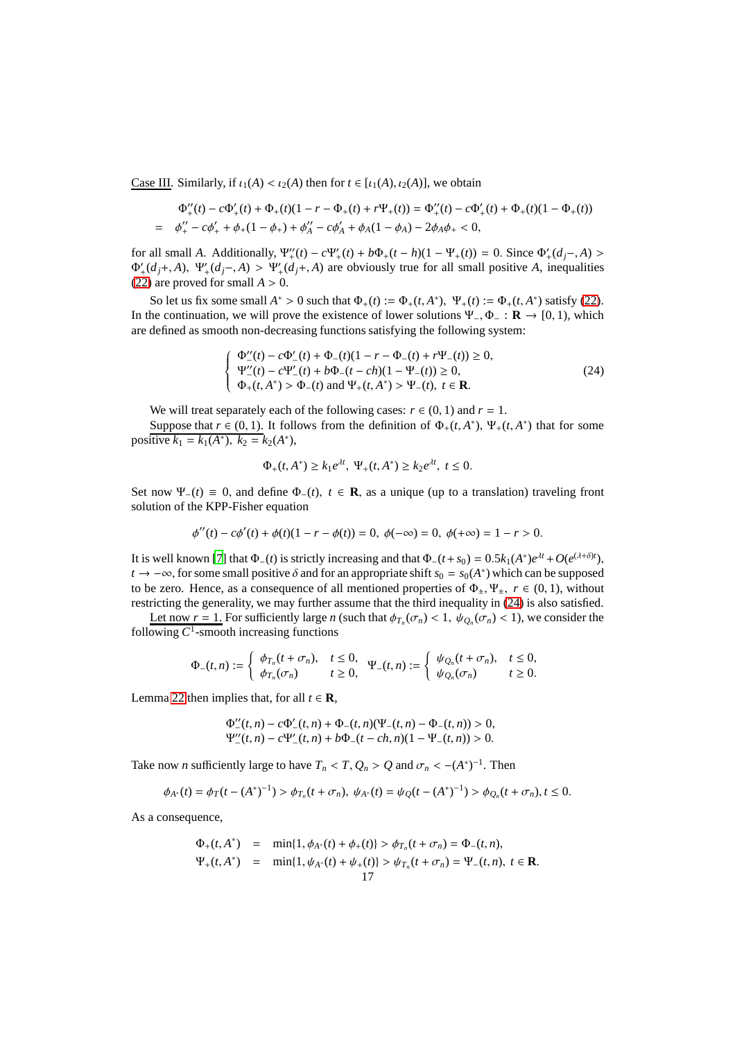Case III. Similarly, if  $\iota_1(A) < \iota_2(A)$  then for  $t \in [\iota_1(A), \iota_2(A)]$ , we obtain

$$
\Phi''_+(t) - c\Phi'_+(t) + \Phi_+(t)(1 - r - \Phi_+(t) + r\Psi_+(t)) = \Phi''_+(t) - c\Phi'_+(t) + \Phi_+(t)(1 - \Phi_+(t))
$$
  
=  $\phi''_+ - c\phi'_+ + \phi_+(1 - \phi_+) + \phi''_A - c\phi'_A + \phi_A(1 - \phi_A) - 2\phi_A\phi_+ < 0,$ 

for all small *A*. Additionally,  $\Psi''_+(t) - c\Psi'_+(t) + b\Phi_+(t-h)(1 - \Psi_+(t)) = 0$ . Since  $\Phi'_+(d_j-,A) >$  $\Phi'_{+}(d_j+, A), \Psi'_{+}(d_j-, A) > \Psi'_{+}(d_j+, A)$  are obviously true for all small positive *A*, inequalities [\(22\)](#page-15-0) are proved for small  $A > 0$ .

So let us fix some small  $A^* > 0$  such that  $\Phi_+(t) := \Phi_+(t, A^*)$ ,  $\Psi_+(t) := \Phi_+(t, A^*)$  satisfy [\(22\)](#page-15-0). In the continuation, we will prove the existence of lower solutions Ψ−, Φ<sup>−</sup> : **R** → [0, 1), which are defined as smooth non-decreasing functions satisfying the following system:

<span id="page-16-0"></span>
$$
\begin{cases}\n\Phi_{-}^{"}(t) - c\Phi_{-}^{\prime}(t) + \Phi_{-}(t)(1 - r - \Phi_{-}(t) + r\Psi_{-}(t)) \ge 0, \\
\Psi_{-}^{"}(t) - c\Psi_{-}^{\prime}(t) + b\Phi_{-}(t - ch)(1 - \Psi_{-}(t)) \ge 0, \\
\Phi_{+}(t, A^{*}) > \Phi_{-}(t) \text{ and } \Psi_{+}(t, A^{*}) > \Psi_{-}(t), \ t \in \mathbf{R}.\n\end{cases}
$$
\n(24)

We will treat separately each of the following cases:  $r \in (0, 1)$  and  $r = 1$ .

Suppose that  $r \in (0, 1)$ . It follows from the definition of  $\Phi_+(t, A^*)$ ,  $\Psi_+(t, A^*)$  that for some positive  $k_1 = k_1(A^*), k_2 = k_2(A^*),$ 

$$
\Phi_+(t, A^*) \ge k_1 e^{\lambda t}, \ \Psi_+(t, A^*) \ge k_2 e^{\lambda t}, \ t \le 0.
$$

Set now  $\Psi_-(t) \equiv 0$ , and define  $\Phi_-(t)$ ,  $t \in \mathbb{R}$ , as a unique (up to a translation) traveling front solution of the KPP-Fisher equation

$$
\phi''(t) - c\phi'(t) + \phi(t)(1 - r - \phi(t)) = 0, \ \phi(-\infty) = 0, \ \phi(+\infty) = 1 - r > 0.
$$

It is well known [\[7](#page-21-12)] that  $\Phi_-(t)$  is strictly increasing and that  $\Phi_-(t+s_0) = 0.5k_1(A^*)e^{\lambda t} + O(e^{(\lambda+\delta)t})$ , *t* →  $-\infty$ , for some small positive  $\delta$  and for an appropriate shift  $s_0 = s_0(A^*)$  which can be supposed to be zero. Hence, as a consequence of all mentioned properties of  $\Phi_+$ ,  $\Psi_+$ ,  $r \in (0, 1)$ , without restricting the generality, we may further assume that the third inequality in [\(24\)](#page-16-0) is also satisfied.

Let now  $r = 1$ . For sufficiently large *n* (such that  $\phi_{T_n}(\sigma_n) < 1$ ,  $\psi_{Q_n}(\sigma_n) < 1$ ), we consider the following *C* 1 -smooth increasing functions

$$
\Phi_{-}(t,n):=\left\{\begin{array}{ll}\phi_{T_n}(t+\sigma_n),&t\leq 0,\\ \phi_{T_n}(\sigma_n)&t\geq 0,\end{array}\right.\Psi_{-}(t,n):=\left\{\begin{array}{ll}\psi_{Q_n}(t+\sigma_n),&t\leq 0,\\ \psi_{Q_n}(\sigma_n)&t\geq 0.\end{array}\right.
$$

Lemma [22](#page-13-2) then implies that, for all  $t \in \mathbb{R}$ ,

$$
\Phi''_{-}(t,n) - c\Phi'_{-}(t,n) + \Phi_{-}(t,n)(\Psi_{-}(t,n) - \Phi_{-}(t,n)) > 0,\n\Psi''_{-}(t,n) - c\Psi'_{-}(t,n) + b\Phi_{-}(t - ch,n)(1 - \Psi_{-}(t,n)) > 0.
$$

Take now *n* sufficiently large to have  $T_n < T$ ,  $Q_n > Q$  and  $\sigma_n < -(A^*)^{-1}$ . Then

$$
\phi_{A^*}(t) = \phi_T(t - (A^*)^{-1}) > \phi_{T_n}(t + \sigma_n), \ \psi_{A^*}(t) = \psi_Q(t - (A^*)^{-1}) > \phi_{Q_n}(t + \sigma_n), t \leq 0.
$$

As a consequence,

$$
\Phi_+(t, A^*) = \min\{1, \phi_{A^*}(t) + \phi_+(t)\} > \phi_{T_n}(t + \sigma_n) = \Phi_-(t, n),
$$
  
\n
$$
\Psi_+(t, A^*) = \min\{1, \psi_{A^*}(t) + \psi_+(t)\} > \psi_{T_n}(t + \sigma_n) = \Psi_-(t, n), \ t \in \mathbb{R}.
$$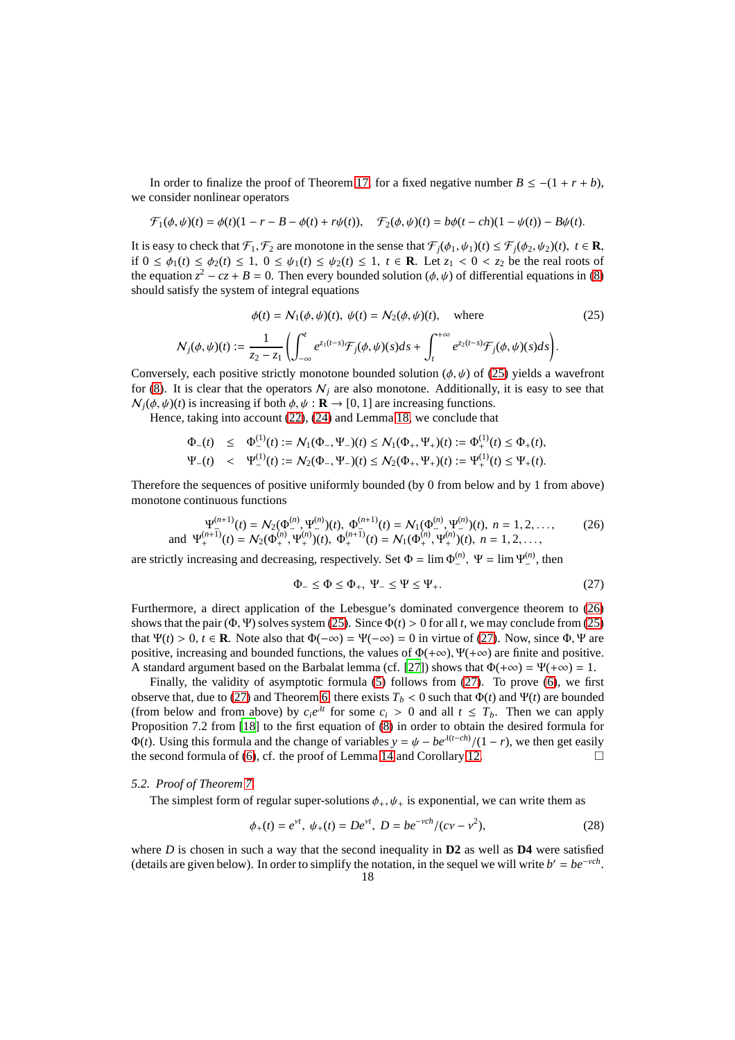In order to finalize the proof of Theorem [17,](#page-11-0) for a fixed negative number  $B \le -(1 + r + b)$ , we consider nonlinear operators

$$
\mathcal{F}_1(\phi,\psi)(t) = \phi(t)(1-r-B-\phi(t)+r\psi(t)), \quad \mathcal{F}_2(\phi,\psi)(t) = b\phi(t-ch)(1-\psi(t)) - B\psi(t).
$$

It is easy to check that  $\mathcal{F}_1, \mathcal{F}_2$  are monotone in the sense that  $\mathcal{F}_j(\phi_1, \psi_1)(t) \leq \mathcal{F}_j(\phi_2, \psi_2)(t)$ ,  $t \in \mathbb{R}$ , if  $0 \leq \phi_1(t) \leq \phi_2(t) \leq 1$ ,  $0 \leq \psi_1(t) \leq \psi_2(t) \leq 1$ ,  $t \in \mathbb{R}$ . Let  $z_1 < 0 < z_2$  be the real roots of the equation  $z^2 - cz + B = 0$ . Then every bounded solution ( $\phi$ ,  $\psi$ ) of differential equations in [\(8\)](#page-5-2) should satisfy the system of integral equations

<span id="page-17-1"></span>
$$
\phi(t) = \mathcal{N}_1(\phi, \psi)(t), \ \psi(t) = \mathcal{N}_2(\phi, \psi)(t), \quad \text{where}
$$
\n
$$
\mathcal{N}_j(\phi, \psi)(t) := \frac{1}{z_2 - z_1} \left( \int_{-\infty}^t e^{z_1(t-s)} \mathcal{F}_j(\phi, \psi)(s) ds + \int_t^{+\infty} e^{z_2(t-s)} \mathcal{F}_j(\phi, \psi)(s) ds \right).
$$
\n(25)

Conversely, each positive strictly monotone bounded solution ( $\phi, \psi$ ) of [\(25\)](#page-17-1) yields a wavefront for [\(8\)](#page-5-2). It is clear that the operators  $N_i$  are also monotone. Additionally, it is easy to see that  $N_j(\phi, \psi)(t)$  is increasing if both  $\phi, \psi : \mathbf{R} \to [0, 1]$  are increasing functions.

Hence, taking into account [\(22\)](#page-15-0), [\(24\)](#page-16-0) and Lemma [18,](#page-11-6) we conclude that

 $(1)$ 

$$
\Phi_{-}(t) \leq \Phi_{-}^{(1)}(t) := \mathcal{N}_{1}(\Phi_{-}, \Psi_{-})(t) \leq \mathcal{N}_{1}(\Phi_{+}, \Psi_{+})(t) := \Phi_{+}^{(1)}(t) \leq \Phi_{+}(t),
$$
  

$$
\Psi_{-}(t) < \Psi_{-}^{(1)}(t) := \mathcal{N}_{2}(\Phi_{-}, \Psi_{-})(t) \leq \mathcal{N}_{2}(\Phi_{+}, \Psi_{+})(t) := \Psi_{+}^{(1)}(t) \leq \Psi_{+}(t).
$$

Therefore the sequences of positive uniformly bounded (by 0 from below and by 1 from above) monotone continuous functions

<span id="page-17-2"></span>
$$
\Psi_{+}^{(n+1)}(t) = \mathcal{N}_{2}(\Phi_{+}^{(n)}, \Psi_{+}^{(n)})(t), \ \Phi_{+}^{(n+1)}(t) = \mathcal{N}_{1}(\Phi_{-}^{(n)}, \Psi_{+}^{(n)})(t), \ n = 1, 2, \dots, \tag{26}
$$
\n
$$
\text{and } \Psi_{+}^{(n+1)}(t) = \mathcal{N}_{2}(\Phi_{+}^{(n)}, \Psi_{+}^{(n)})(t), \ \Phi_{+}^{(n+1)}(t) = \mathcal{N}_{1}(\Phi_{+}^{(n)}, \Psi_{+}^{(n)})(t), \ n = 1, 2, \dots,
$$

are strictly increasing and decreasing, respectively. Set  $\Phi = \lim_{n \to \infty} \Phi_n^{(n)}$  $\Gamma^{(n)}$ ,  $\Psi = \lim \Psi^{(n)}$  $\binom{n}{-}$ , then

<span id="page-17-3"></span>
$$
\Phi_{-} \le \Phi \le \Phi_{+}, \ \Psi_{-} \le \Psi \le \Psi_{+}.
$$
\n<sup>(27)</sup>

Furthermore, a direct application of the Lebesgue's dominated convergence theorem to [\(26\)](#page-17-2) shows that the pair ( $\Phi$ , Ψ) solves system [\(25\)](#page-17-1). Since  $\Phi(t) > 0$  for all *t*, we may conclude from (25) that  $\Psi(t) > 0$ ,  $t \in \mathbb{R}$ . Note also that  $\Phi(-\infty) = \Psi(-\infty) = 0$  in virtue of [\(27\)](#page-17-3). Now, since  $\Phi$ ,  $\Psi$  are positive, increasing and bounded functions, the values of  $\Phi(+\infty)$ ,  $\Psi(+\infty)$  are finite and positive. A standard argument based on the Barbalat lemma (cf. [\[27](#page-22-4)]) shows that  $\Phi(+\infty) = \Psi(+\infty) = 1$ .

Finally, the validity of asymptotic formula [\(5\)](#page-4-3) follows from [\(27\)](#page-17-3). To prove [\(6\)](#page-4-4), we first observe that, due to [\(27\)](#page-17-3) and Theorem [6,](#page-3-2) there exists  $T_b < 0$  such that  $\Phi(t)$  and  $\Psi(t)$  are bounded (from below and from above) by  $c_i e^{\lambda t}$  for some  $c_i > 0$  and all  $t \leq T_b$ . Then we can apply Proposition 7.2 from [\[18\]](#page-22-11) to the first equation of [\(8\)](#page-5-2) in order to obtain the desired formula for  $\Phi(t)$ . Using this formula and the change of variables  $y = \psi - be^{\lambda(t-ch)}/(1 - r)$ , we then get easily the second formula of [\(6\)](#page-4-4), cf. the proof of Lemma [14](#page-7-1) and Corollary [12.](#page-7-3)

## <span id="page-17-0"></span>*5.2. Proof of Theorem [7](#page-3-0)*

The simplest form of regular super-solutions  $\phi_+$ ,  $\psi_+$  is exponential, we can write them as

<span id="page-17-4"></span>
$$
\phi_+(t) = e^{\gamma t}, \ \psi_+(t) = De^{\gamma t}, \ D = be^{-\gamma c h} / (c\gamma - \gamma^2), \tag{28}
$$

<span id="page-17-5"></span>where *D* is chosen in such a way that the second inequality in **D2** as well as **D4** were satisfied (details are given below). In order to simplify the notation, in the sequel we will write  $b' = be^{-\nu ch}$ .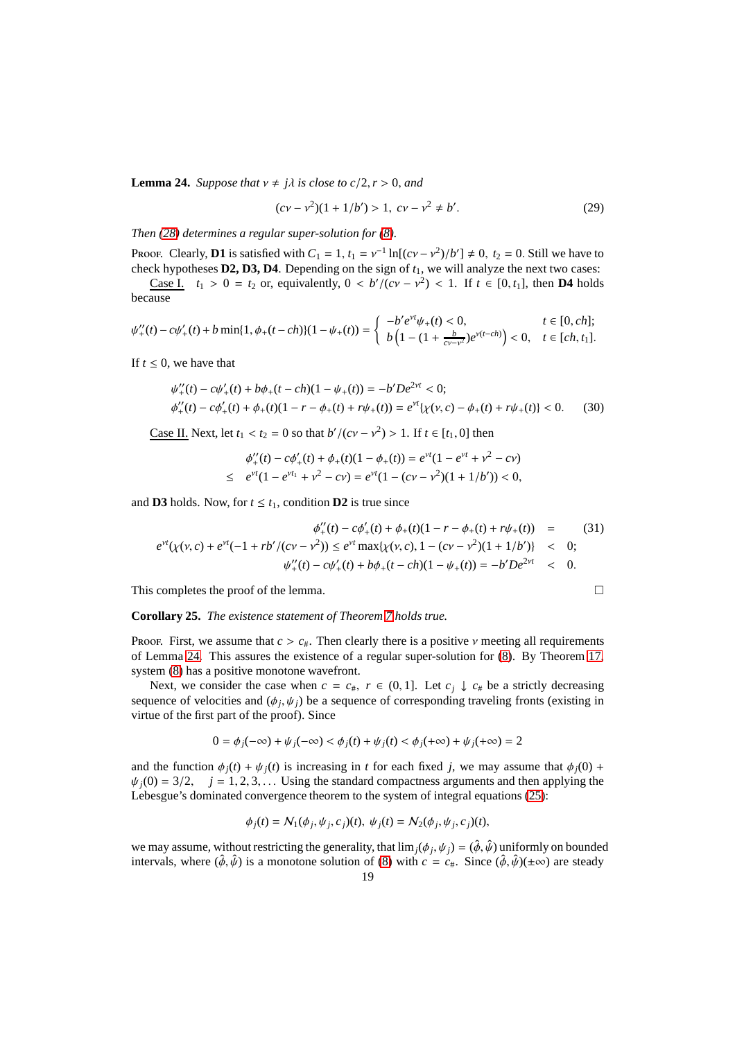**Lemma 24.** *Suppose that*  $v \neq j\lambda$  *is close to c*/2,*r* > 0, *and* 

<span id="page-18-1"></span>
$$
(cv - v2)(1 + 1/b') > 1, cv - v2 \neq b'.
$$
 (29)

*Then [\(28\)](#page-17-4) determines a regular super-solution for [\(8\)](#page-5-2).*

Proof. Clearly, **D1** is satisfied with  $C_1 = 1$ ,  $t_1 = v^{-1} \ln[(cv - v^2)/b'] \neq 0$ ,  $t_2 = 0$ . Still we have to check hypotheses **D2, D3, D4**. Depending on the sign of *t*1, we will analyze the next two cases: <u>Case I.</u> *t*<sub>1</sub> > 0 = *t*<sub>2</sub> or, equivalently, 0 < *b*'/(*cv* − *v*<sup>2</sup>) < 1. If *t* ∈ [0, *t*<sub>1</sub>], then **D4** holds because

$$
\psi_+^{\prime\prime}(t)-c\psi_+^{\prime}(t)+b\min\{1,\phi_+(t-ch)\}(1-\psi_+(t))=\left\{\begin{array}{ll} -b^{\prime}e^{\nu t}\psi_+(t)<0, & t\in[0,ch];\\ b\left(1-(1+\frac{b}{c\nu-\nu^2})e^{\nu(t-ch)}\right)<0, & t\in[ch,t_1].\end{array}\right.
$$

If  $t \leq 0$ , we have that

$$
\psi''_+(t) - c\psi'_+(t) + b\phi_+(t - ch)(1 - \psi_+(t)) = -b'De^{2\gamma t} < 0;
$$
  

$$
\phi''_+(t) - c\phi'_+(t) + \phi_+(t)(1 - r - \phi_+(t) + r\psi_+(t)) = e^{\gamma t}\{\chi(\nu, c) - \phi_+(t) + r\psi_+(t)\} < 0.
$$
 (30)

<u>Case II.</u> Next, let  $t_1 < t_2 = 0$  so that  $b'/(c v - v^2) > 1$ . If  $t \in [t_1, 0]$  then

<span id="page-18-0"></span>
$$
\phi_+^{\prime\prime}(t) - c\phi_+^{\prime}(t) + \phi_+(t)(1 - \phi_+(t)) = e^{\nu t}(1 - e^{\nu t} + \nu^2 - c\nu)
$$
  
 
$$
\leq e^{\nu t}(1 - e^{\nu t_1} + \nu^2 - c\nu) = e^{\nu t}(1 - (c\nu - \nu^2)(1 + 1/b')) < 0,
$$

and **D3** holds. Now, for  $t \leq t_1$ , condition **D2** is true since

$$
\phi''_{+}(t) - c\phi'_{+}(t) + \phi_{+}(t)(1 - r - \phi_{+}(t) + r\psi_{+}(t)) = \qquad (31)
$$
\n
$$
e^{\nu t}(\chi(\nu, c) + e^{\nu t}(-1 + rb'/(cv - \nu^{2})) \leq e^{\nu t} \max\{\chi(\nu, c), 1 - (cv - \nu^{2})(1 + 1/b')\} \leq 0;
$$
\n
$$
\psi''_{+}(t) - c\psi'_{+}(t) + b\phi_{+}(t - ch)(1 - \psi_{+}(t)) = -b'De^{2\nu t} \leq 0.
$$

This completes the proof of the lemma.

$$
\qquad \qquad \Box
$$

**Corollary 25.** *The existence statement of Theorem [7](#page-3-0) holds true.*

Proof. First, we assume that  $c > c_{\#}$ . Then clearly there is a positive  $\nu$  meeting all requirements of Lemma [24.](#page-17-5) This assures the existence of a regular super-solution for [\(8\)](#page-5-2). By Theorem [17,](#page-11-0) system [\(8\)](#page-5-2) has a positive monotone wavefront.

Next, we consider the case when  $c = c_{\#}, r \in (0, 1]$ . Let  $c_j \downarrow c_{\#}$  be a strictly decreasing sequence of velocities and  $(\phi_j, \psi_j)$  be a sequence of corresponding traveling fronts (existing in virtue of the first part of the proof). Since

$$
0 = \phi_j(-\infty) + \psi_j(-\infty) < \phi_j(t) + \psi_j(t) < \phi_j(+\infty) + \psi_j(+\infty) = 2
$$

and the function  $\phi_j(t) + \psi_j(t)$  is increasing in *t* for each fixed *j*, we may assume that  $\phi_j(0)$  +  $\psi_i(0) = 3/2$ ,  $j = 1, 2, 3, ...$  Using the standard compactness arguments and then applying the Lebesgue's dominated convergence theorem to the system of integral equations [\(25\)](#page-17-1):

$$
\phi_j(t) = \mathcal{N}_1(\phi_j, \psi_j, c_j)(t), \ \psi_j(t) = \mathcal{N}_2(\phi_j, \psi_j, c_j)(t),
$$

we may assume, without restricting the generality, that  $\lim_j(\phi_j, \psi_j) = (\hat{\phi}, \hat{\psi})$  uniformly on bounded intervals, where  $(\hat{\phi}, \hat{\psi})$  is a monotone solution of [\(8\)](#page-5-2) with  $c = c_{\#}$ . Since  $(\hat{\phi}, \hat{\psi})(\pm \infty)$  are steady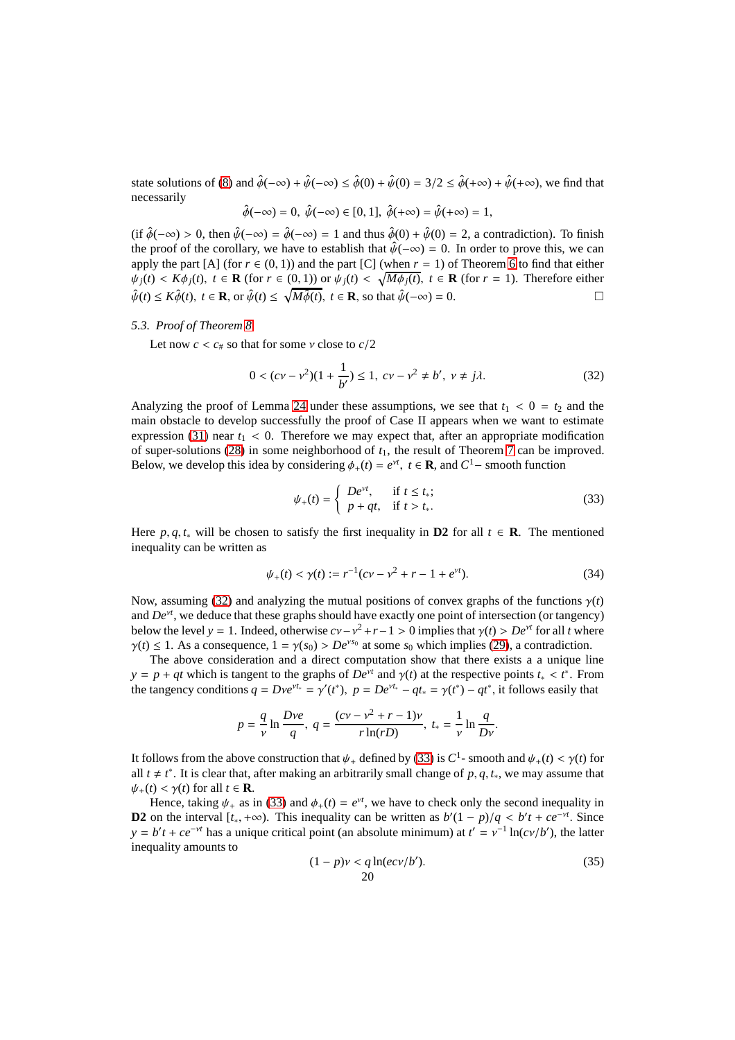state solutions of [\(8\)](#page-5-2) and  $\hat{\phi}(-\infty) + \hat{\psi}(-\infty) \leq \hat{\phi}(0) + \hat{\psi}(0) = 3/2 \leq \hat{\phi}(+\infty) + \hat{\psi}(+\infty)$ , we find that necessarily

$$
\hat{\phi}(-\infty) = 0, \ \hat{\psi}(-\infty) \in [0, 1], \ \hat{\phi}(+\infty) = \hat{\psi}(+\infty) = 1,
$$

(if  $\hat{\phi}(-\infty) > 0$ , then  $\hat{\psi}(-\infty) = \hat{\phi}(-\infty) = 1$  and thus  $\hat{\phi}(0) + \hat{\psi}(0) = 2$ , a contradiction). To finish the proof of the corollary, we have to establish that  $\hat{\psi}(-\infty) = 0$ . In order to prove this, we can apply the part  $[A]$  (for  $r \in (0, 1)$ ) and the part  $[C]$  (when  $r = 1$ ) of Theorem [6](#page-3-2) to find that either  $\psi_j(t) < K\phi_j(t)$ ,  $t \in \mathbf{R}$  (for  $r \in (0,1)$ ) or  $\psi_j(t) < \sqrt{M\phi_j(t)}$ ,  $t \in \mathbf{R}$  (for  $r = 1$ ). Therefore either  $\hat{\psi}(t) \leq K\hat{\phi}(t), t \in \mathbf{R}$ , or  $\hat{\psi}(t) \leq \sqrt{M\hat{\phi}(t)}, t \in \mathbf{R}$ , so that  $\hat{\psi}(-\infty) = 0$ .

## <span id="page-19-0"></span>*5.3. Proof of Theorem [8](#page-4-1)*

Let now  $c < c_{\#}$  so that for some  $\nu$  close to  $c/2$ 

<span id="page-19-1"></span>
$$
0 < (c\mathbf{v} - \mathbf{v}^2)(1 + \frac{1}{b'}) \le 1, \quad c\mathbf{v} - \mathbf{v}^2 \ne b', \quad \mathbf{v} \ne j\lambda. \tag{32}
$$

Analyzing the proof of Lemma [24](#page-17-5) under these assumptions, we see that  $t_1 < 0 = t_2$  and the main obstacle to develop successfully the proof of Case II appears when we want to estimate expression [\(31\)](#page-18-0) near  $t_1 < 0$ . Therefore we may expect that, after an appropriate modification of super-solutions  $(28)$  in some neighborhood of  $t<sub>1</sub>$ , the result of Theorem [7](#page-3-0) can be improved. Below, we develop this idea by considering  $\phi_+(t) = e^{\gamma t}$ ,  $t \in \mathbf{R}$ , and  $C^1$ – smooth function

<span id="page-19-2"></span>
$$
\psi_{+}(t) = \begin{cases} De^{\nu t}, & \text{if } t \le t_*; \\ p + qt, & \text{if } t > t_*. \end{cases} \tag{33}
$$

Here *p*, *q*, *t*<sup>\*</sup> will be chosen to satisfy the first inequality in **D2** for all  $t \in \mathbb{R}$ . The mentioned inequality can be written as

$$
\psi_{+}(t) < \gamma(t) := r^{-1}(cv - v^2 + r - 1 + e^{vt}).\tag{34}
$$

Now, assuming [\(32\)](#page-19-1) and analyzing the mutual positions of convex graphs of the functions  $\gamma(t)$ and *De*<sup>ν</sup>*<sup>t</sup>* , we deduce that these graphs should have exactly one point of intersection (or tangency) below the level *y* = 1. Indeed, otherwise  $cv - v^2 + r - 1 > 0$  implies that  $\gamma(t) > De^{vt}$  for all *t* where  $\gamma(t) \leq 1$ . As a consequence,  $1 = \gamma(s_0) > De^{vs_0}$  at some  $s_0$  which implies [\(29\)](#page-18-1), a contradiction.

The above consideration and a direct computation show that there exists a a unique line *y* = *p* + *qt* which is tangent to the graphs of *De<sup>vt</sup>* and  $\gamma(t)$  at the respective points  $t_* < t^*$ . From the tangency conditions  $q = Dve^{rt_*} = \gamma'(t^*)$ ,  $p = De^{vt_*} - qt_* = \gamma(t^*) - qt^*$ , it follows easily that

$$
p = \frac{q}{\nu} \ln \frac{Dve}{q}, \ q = \frac{(cv - v^2 + r - 1)v}{r \ln(rD)}, \ t_* = \frac{1}{\nu} \ln \frac{q}{Dv}.
$$

It follows from the above construction that  $\psi_+$  defined by [\(33\)](#page-19-2) is  $C^1$ - smooth and  $\psi_+(t) < \gamma(t)$  for all  $t \neq t^*$ . It is clear that, after making an arbitrarily small change of  $p, q, t_*$ , we may assume that  $\psi_+(t) < \gamma(t)$  for all  $t \in \mathbf{R}$ .

Hence, taking  $\psi_+$  as in [\(33\)](#page-19-2) and  $\phi_+(t) = e^{\nu t}$ , we have to check only the second inequality in **D2** on the interval  $[t_*, +\infty)$ . This inequality can be written as  $b'(1 - p)/q < b't + ce^{-vt}$ . Since  $y = b't + ce^{-vt}$  has a unique critical point (an absolute minimum) at  $t' = v^{-1} \ln(cv/b')$ , the latter inequality amounts to

<span id="page-19-3"></span>
$$
(1 - p)\nu < q \ln(ec\nu/b'). \tag{35}
$$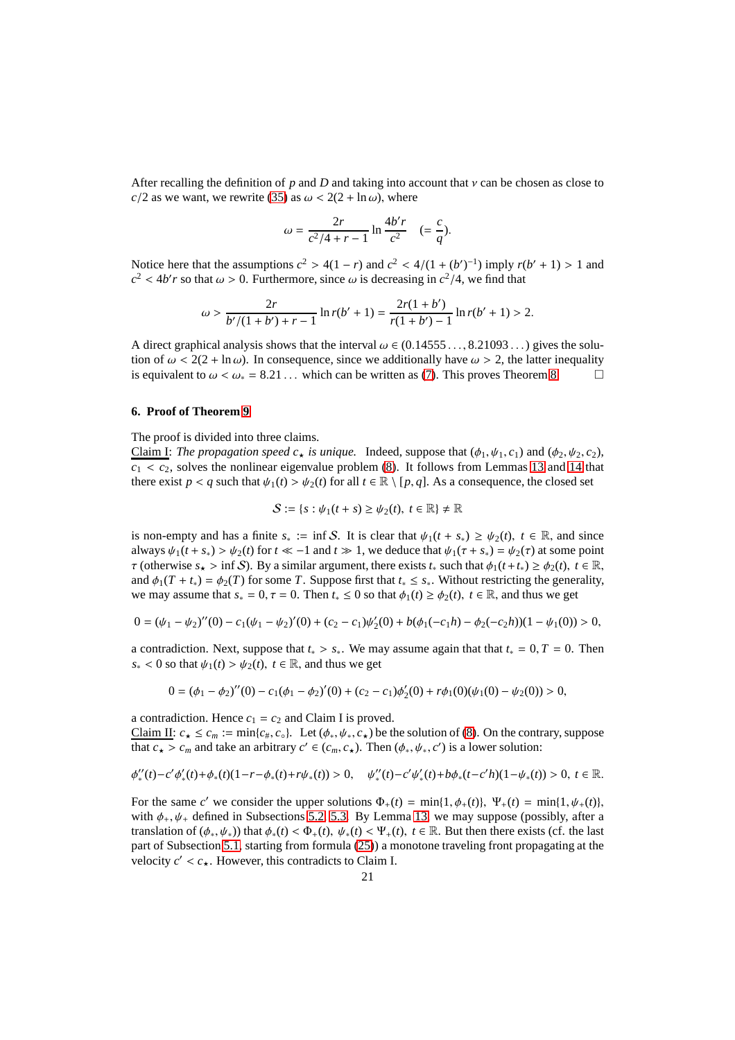After recalling the definition of  $p$  and  $D$  and taking into account that  $\nu$  can be chosen as close to *c*/2 as we want, we rewrite [\(35\)](#page-19-3) as  $\omega$  < 2(2 + ln $\omega$ ), where

$$
\omega = \frac{2r}{c^2/4 + r - 1} \ln \frac{4b'r}{c^2} \quad (=\frac{c}{q}).
$$

Notice here that the assumptions  $c^2 > 4(1 - r)$  and  $c^2 < 4/(1 + (b')^{-1})$  imply  $r(b' + 1) > 1$  and  $c^2$  < 4*b*'*r* so that  $\omega > 0$ . Furthermore, since  $\omega$  is decreasing in  $c^2/4$ , we find that

$$
\omega > \frac{2r}{b'(1+b')+r-1}\ln r(b'+1) = \frac{2r(1+b')}{r(1+b')-1}\ln r(b'+1) > 2.
$$

A direct graphical analysis shows that the interval  $\omega \in (0.14555...$ , 8.21093...) gives the solution of  $\omega < 2(2 + \ln \omega)$ . In consequence, since we additionally have  $\omega > 2$ , the latter inequality is equivalent to  $\omega < \omega_* = 8.21...$  $\omega < \omega_* = 8.21...$  $\omega < \omega_* = 8.21...$  which can be written as [\(7\)](#page-4-5). This proves Theorem 8.

# <span id="page-20-0"></span>**6. Proof of Theorem [9](#page-4-2)**

The proof is divided into three claims.

Claim I: *The propagation speed*  $c_{\star}$  *is unique.* Indeed, suppose that  $(\phi_1, \psi_1, c_1)$  and  $(\phi_2, \psi_2, c_2)$ ,  $c_1 < c_2$ , solves the nonlinear eigenvalue problem [\(8\)](#page-5-2). It follows from Lemmas [13](#page-7-2) and [14](#page-7-1) that there exist  $p < q$  such that  $\psi_1(t) > \psi_2(t)$  for all  $t \in \mathbb{R} \setminus [p, q]$ . As a consequence, the closed set

$$
\mathcal{S} := \{s : \psi_1(t+s) \ge \psi_2(t), \ t \in \mathbb{R}\} \ne \mathbb{R}
$$

is non-empty and has a finite  $s_* := \inf S$ . It is clear that  $\psi_1(t + s_*) \geq \psi_2(t)$ ,  $t \in \mathbb{R}$ , and since always  $\psi_1(t + s_*) > \psi_2(t)$  for  $t \ll -1$  and  $t \gg 1$ , we deduce that  $\psi_1(\tau + s_*) = \psi_2(\tau)$  at some point  $\tau$  (otherwise  $s_{\star} > \inf S$ ). By a similar argument, there exists  $t_*$  such that  $\phi_1(t+t_*) \ge \phi_2(t)$ ,  $t \in \mathbb{R}$ , and  $\phi_1(T + t_*) = \phi_2(T)$  for some *T*. Suppose first that  $t_* \leq s_*$ . Without restricting the generality, we may assume that  $s_* = 0$ ,  $\tau = 0$ . Then  $t_* \leq 0$  so that  $\phi_1(t) \geq \phi_2(t)$ ,  $t \in \mathbb{R}$ , and thus we get

$$
0 = (\psi_1 - \psi_2)''(0) - c_1(\psi_1 - \psi_2)'(0) + (c_2 - c_1)\psi_2'(0) + b(\phi_1(-c_1h) - \phi_2(-c_2h))(1 - \psi_1(0)) > 0,
$$

a contradiction. Next, suppose that  $t_* > s_*$ . We may assume again that that  $t_* = 0, T = 0$ . Then  $s_* < 0$  so that  $\psi_1(t) > \psi_2(t)$ ,  $t \in \mathbb{R}$ , and thus we get

$$
0 = (\phi_1 - \phi_2)''(0) - c_1(\phi_1 - \phi_2)'(0) + (c_2 - c_1)\phi_2'(0) + r\phi_1(0)(\psi_1(0) - \psi_2(0)) > 0,
$$

a contradiction. Hence  $c_1 = c_2$  and Claim I is proved.

Claim II:  $c_{\star} \leq c_m := \min\{c_{\#}, c_{\circ}\}\$ . Let  $(\phi_{*}, \psi_{*}, c_{\star})$  be the solution of [\(8\)](#page-5-2). On the contrary, suppose that  $c_{\star} > c_m$  and take an arbitrary  $c' \in (c_m, c_{\star})$ . Then  $(\phi_*, \psi_*, c')$  is a lower solution:

$$
\phi''_*(t) - c' \phi'_*(t) + \phi_*(t) (1 - r - \phi_*(t) + r \psi_*(t)) > 0, \quad \psi''_*(t) - c' \psi'_*(t) + b \phi_*(t - c'h) (1 - \psi_*(t)) > 0, \ t \in \mathbb{R}.
$$

For the same *c'* we consider the upper solutions  $\Phi_+(t) = \min\{1, \phi_+(t)\}, \Psi_+(t) = \min\{1, \psi_+(t)\},\$ with  $\phi_+$ ,  $\psi_+$  defined in Subsections [5.2,](#page-17-0) [5.3.](#page-19-0) By Lemma [13,](#page-7-2) we may suppose (possibly, after a translation of  $(\phi_*, \psi_*)$ ) that  $\phi_*(t) < \Phi_+(t)$ ,  $\psi_*(t) < \Psi_+(t)$ ,  $t \in \mathbb{R}$ . But then there exists (cf. the last part of Subsection [5.1,](#page-10-0) starting from formula [\(25\)](#page-17-1)) a monotone traveling front propagating at the velocity  $c' < c_{\star}$ . However, this contradicts to Claim I.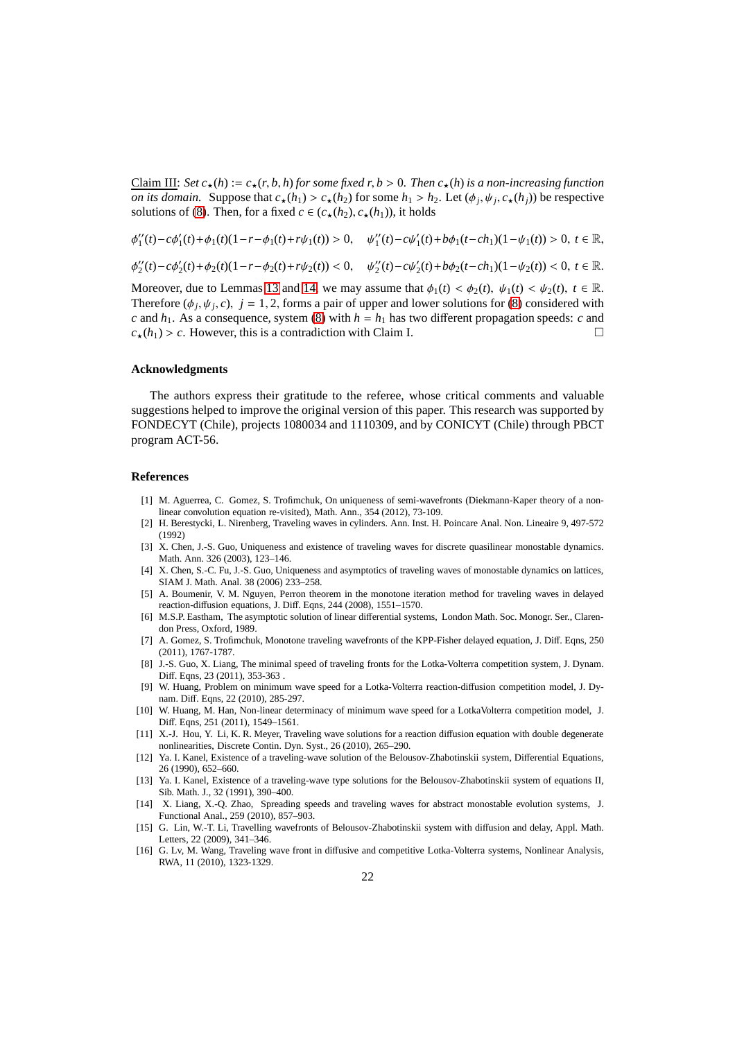Claim III: *Set*  $c_{\star}(h) := c_{\star}(r, b, h)$  *for some fixed*  $r, b > 0$ *. Then*  $c_{\star}(h)$  *is a non-increasing function on its domain.* Suppose that  $c_{\star}(h_1) > c_{\star}(h_2)$  for some  $h_1 > h_2$ . Let  $(\phi_j, \psi_j, c_{\star}(h_j))$  be respective solutions of [\(8\)](#page-5-2). Then, for a fixed  $c \in (c_+(h_2), c_+(h_1))$ , it holds

$$
\phi_1''(t) - c\phi_1'(t) + \phi_1(t)(1 - r - \phi_1(t) + r\psi_1(t)) > 0, \quad \psi_1''(t) - c\psi_1'(t) + b\phi_1(t - ch_1)(1 - \psi_1(t)) > 0, \ t \in \mathbb{R},
$$
  

$$
\phi_2''(t) - c\phi_2'(t) + \phi_2(t)(1 - r - \phi_2(t) + r\psi_2(t)) < 0, \quad \psi_2''(t) - c\psi_2'(t) + b\phi_2(t - ch_1)(1 - \psi_2(t)) < 0, \ t \in \mathbb{R}.
$$

Moreover, due to Lemmas [13](#page-7-2) and [14,](#page-7-1) we may assume that  $\phi_1(t) < \phi_2(t)$ ,  $\psi_1(t) < \psi_2(t)$ ,  $t \in \mathbb{R}$ . Therefore  $(\phi_j, \psi_j, c)$ ,  $j = 1, 2$ , forms a pair of upper and lower solutions for [\(8\)](#page-5-2) considered with *c* and  $h_1$ . As a consequence, system [\(8\)](#page-5-2) with  $h = h_1$  has two different propagation speeds: *c* and  $c_{\star}(h_1) > c$ . However, this is a contradiction with Claim I.

### **Acknowledgments**

The authors express their gratitude to the referee, whose critical comments and valuable suggestions helped to improve the original version of this paper. This research was supported by FONDECYT (Chile), projects 1080034 and 1110309, and by CONICYT (Chile) through PBCT program ACT-56.

#### **References**

- <span id="page-21-8"></span>[1] M. Aguerrea, C. Gomez, S. Trofimchuk, On uniqueness of semi-wavefronts (Diekmann-Kaper theory of a nonlinear convolution equation re-visited), Math. Ann., 354 (2012), 73-109.
- <span id="page-21-9"></span>[2] H. Berestycki, L. Nirenberg, Traveling waves in cylinders. Ann. Inst. H. Poincare Anal. Non. Lineaire 9, 497-572 (1992)
- <span id="page-21-10"></span>[3] X. Chen, J.-S. Guo, Uniqueness and existence of traveling waves for discrete quasilinear monostable dynamics. Math. Ann. 326 (2003), 123–146.
- <span id="page-21-13"></span>[4] X. Chen, S.-C. Fu, J.-S. Guo, Uniqueness and asymptotics of traveling waves of monostable dynamics on lattices, SIAM J. Math. Anal. 38 (2006) 233–258.
- <span id="page-21-11"></span>[5] A. Boumenir, V. M. Nguyen, Perron theorem in the monotone iteration method for traveling waves in delayed reaction-diffusion equations, J. Diff. Eqns, 244 (2008), 1551–1570.
- <span id="page-21-14"></span>[6] M.S.P. Eastham, The asymptotic solution of linear differential systems, London Math. Soc. Monogr. Ser., Clarendon Press, Oxford, 1989.
- <span id="page-21-12"></span>[7] A. Gomez, S. Trofimchuk, Monotone traveling wavefronts of the KPP-Fisher delayed equation, J. Diff. Eqns, 250 (2011), 1767-1787.
- <span id="page-21-5"></span>[8] J.-S. Guo, X. Liang, The minimal speed of traveling fronts for the Lotka-Volterra competition system, J. Dynam. Diff. Eqns, 23 (2011), 353-363 .
- <span id="page-21-6"></span>[9] W. Huang, Problem on minimum wave speed for a Lotka-Volterra reaction-diffusion competition model, J. Dynam. Diff. Eqns, 22 (2010), 285-297.
- <span id="page-21-7"></span>[10] W. Huang, M. Han, Non-linear determinacy of minimum wave speed for a LotkaVolterra competition model, J. Diff. Eqns, 251 (2011), 1549–1561.
- [11] X.-J. Hou, Y. Li, K. R. Meyer, Traveling wave solutions for a reaction diffusion equation with double degenerate nonlinearities, Discrete Contin. Dyn. Syst., 26 (2010), 265–290.
- <span id="page-21-1"></span>[12] Ya. I. Kanel, Existence of a traveling-wave solution of the Belousov-Zhabotinskii system, Differential Equations, 26 (1990), 652–660.
- <span id="page-21-2"></span>[13] Ya. I. Kanel, Existence of a traveling-wave type solutions for the Belousov-Zhabotinskii system of equations II, Sib. Math. J., 32 (1991), 390–400.
- <span id="page-21-0"></span>[14] X. Liang, X.-Q. Zhao, Spreading speeds and traveling waves for abstract monostable evolution systems, J. Functional Anal., 259 (2010), 857–903.
- <span id="page-21-3"></span>[15] G. Lin, W.-T. Li, Travelling wavefronts of Belousov-Zhabotinskii system with diffusion and delay, Appl. Math. Letters, 22 (2009), 341–346.
- <span id="page-21-4"></span>[16] G. Lv, M. Wang, Traveling wave front in diffusive and competitive Lotka-Volterra systems, Nonlinear Analysis, RWA, 11 (2010), 1323-1329.